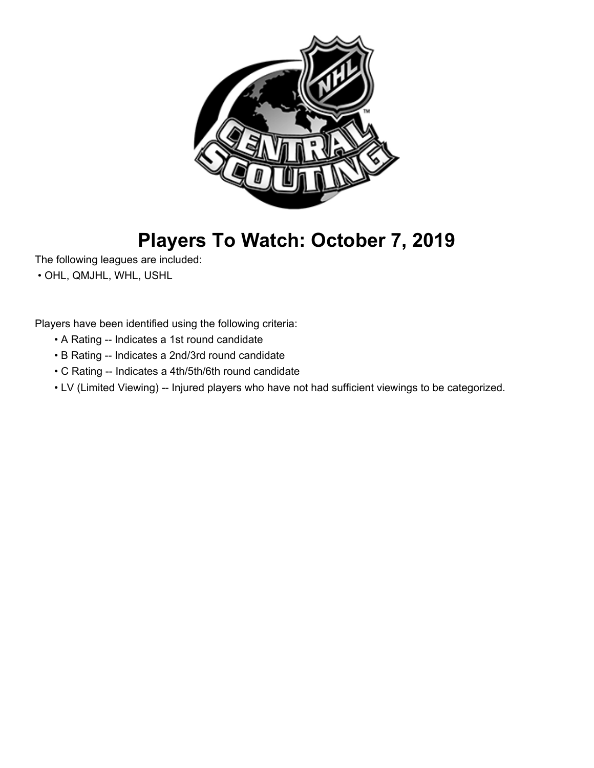

## **Players To Watch: October 7, 2019**

The following leagues are included:

• OHL, QMJHL, WHL, USHL

Players have been identified using the following criteria:

- A Rating -- Indicates a 1st round candidate
- B Rating -- Indicates a 2nd/3rd round candidate
- C Rating -- Indicates a 4th/5th/6th round candidate
- LV (Limited Viewing) -- Injured players who have not had sufficient viewings to be categorized.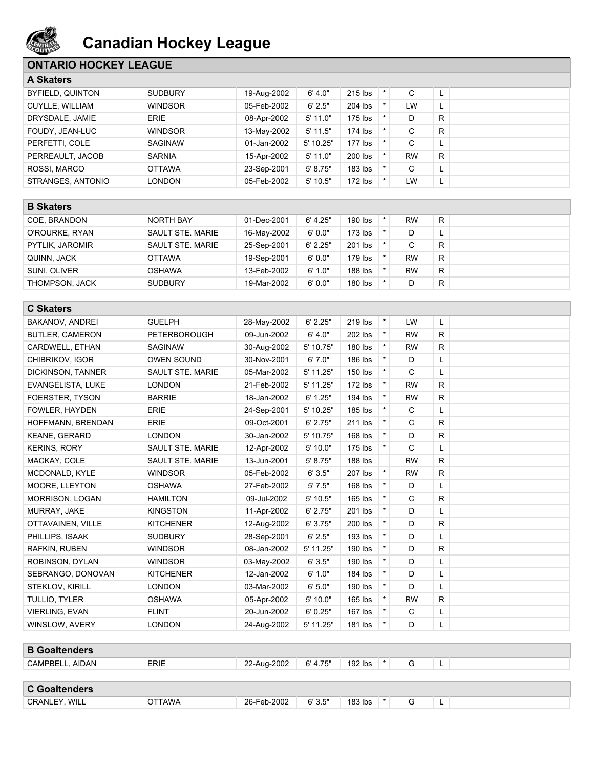

### **ONTARIO HOCKEY LEAGUE**

| <b>A Skaters</b>       |                |             |            |           |           |   |  |
|------------------------|----------------|-------------|------------|-----------|-----------|---|--|
| BYFIELD, QUINTON       | <b>SUDBURY</b> | 19-Aug-2002 | 6' 4.0"    | 215 lbs   | C         | L |  |
| <b>CUYLLE, WILLIAM</b> | <b>WINDSOR</b> | 05-Feb-2002 | 6' 2.5"    | 204 lbs   | LW        | L |  |
| DRYSDALE, JAMIE        | <b>ERIE</b>    | 08-Apr-2002 | $5'$ 11.0" | 175 lbs   | D         | R |  |
| FOUDY, JEAN-LUC        | <b>WINDSOR</b> | 13-May-2002 | $5'$ 11.5" | 174 lbs   | С         | R |  |
| PERFETTI, COLE         | <b>SAGINAW</b> | 01-Jan-2002 | 5' 10.25"  | 177 lbs   | C         | L |  |
| PERREAULT, JACOB       | <b>SARNIA</b>  | 15-Apr-2002 | $5'$ 11.0" | 200 lbs   | <b>RW</b> | R |  |
| ROSSI, MARCO           | <b>OTTAWA</b>  | 23-Sep-2001 | 5' 8.75"   | $183$ lbs | C         | L |  |
| STRANGES, ANTONIO      | LONDON         | 05-Feb-2002 | $5'$ 10.5" | 172 lbs   | <b>LW</b> | L |  |

| <b>B</b> Skaters      |                  |             |           |           |           |    |  |
|-----------------------|------------------|-------------|-----------|-----------|-----------|----|--|
| COE. BRANDON          | NORTH BAY        | 01-Dec-2001 | 6' 4.25'' | 190 lbs   | <b>RW</b> | R. |  |
| O'ROURKE, RYAN        | SAULT STE, MARIE | 16-May-2002 | 6'0.0"    | $173$ lbs | D         | -  |  |
| PYTLIK, JAROMIR       | SAULT STE, MARIE | 25-Sep-2001 | 6' 2.25"  | 201 lbs   | ⌒<br>U    | R  |  |
| QUINN, JACK           | <b>OTTAWA</b>    | 19-Sep-2001 | 6'0.0"    | $179$ lbs | <b>RW</b> | R. |  |
| SUNI. OLIVER          | <b>OSHAWA</b>    | 13-Feb-2002 | 6'1.0"    | 188 lbs   | <b>RW</b> | R. |  |
| <b>THOMPSON, JACK</b> | <b>SUDBURY</b>   | 19-Mar-2002 | 6'0.0"    | 180 lbs   | D         | R. |  |

| <b>C Skaters</b>       |                         |             |           |           |         |              |    |  |
|------------------------|-------------------------|-------------|-----------|-----------|---------|--------------|----|--|
| BAKANOV, ANDREI        | <b>GUELPH</b>           | 28-May-2002 | 6' 2.25"  | 219 lbs   | $\star$ | LW           | L  |  |
| <b>BUTLER, CAMERON</b> | <b>PETERBOROUGH</b>     | 09-Jun-2002 | 6' 4.0"   | 202 lbs   | $\star$ | <b>RW</b>    | R. |  |
| CARDWELL, ETHAN        | <b>SAGINAW</b>          | 30-Aug-2002 | 5' 10.75" | 180 lbs   | $\star$ | <b>RW</b>    | R. |  |
| CHIBRIKOV, IGOR        | <b>OWEN SOUND</b>       | 30-Nov-2001 | 6'7.0"    | 186 lbs   |         | D            | L  |  |
| DICKINSON, TANNER      | SAULT STE. MARIE        | 05-Mar-2002 | 5' 11.25" | 150 lbs   | $\star$ | $\mathsf{C}$ | L  |  |
| EVANGELISTA, LUKE      | <b>LONDON</b>           | 21-Feb-2002 | 5' 11.25" | $172$ lbs | $\star$ | <b>RW</b>    | R. |  |
| FOERSTER, TYSON        | <b>BARRIE</b>           | 18-Jan-2002 | 6' 1.25"  | 194 lbs   | $\star$ | <b>RW</b>    | R. |  |
| FOWLER, HAYDEN         | <b>ERIE</b>             | 24-Sep-2001 | 5' 10.25" | 185 lbs   | $\star$ | C            | L  |  |
| HOFFMANN, BRENDAN      | <b>ERIE</b>             | 09-Oct-2001 | 6' 2.75"  | 211 lbs   |         | C            | R. |  |
| <b>KEANE, GERARD</b>   | <b>LONDON</b>           | 30-Jan-2002 | 5' 10.75" | 168 lbs   | $\star$ | D            | R. |  |
| <b>KERINS, RORY</b>    | SAULT STE. MARIE        | 12-Apr-2002 | 5' 10.0"  | 175 lbs   | $\star$ | C            | L  |  |
| MACKAY, COLE           | <b>SAULT STE, MARIE</b> | 13-Jun-2001 | 5' 8.75"  | 188 lbs   |         | <b>RW</b>    | R. |  |
| MCDONALD, KYLE         | <b>WINDSOR</b>          | 05-Feb-2002 | 6'3.5"    | 207 lbs   | $\star$ | <b>RW</b>    | R. |  |
| MOORE. LLEYTON         | <b>OSHAWA</b>           | 27-Feb-2002 | 5'7.5"    | 168 lbs   |         | D            | L  |  |
| <b>MORRISON, LOGAN</b> | <b>HAMILTON</b>         | 09-Jul-2002 | 5' 10.5"  | 165 lbs   |         | $\mathsf{C}$ | R. |  |
| MURRAY, JAKE           | <b>KINGSTON</b>         | 11-Apr-2002 | 6' 2.75"  | 201 lbs   | $\star$ | D            | Г  |  |
| OTTAVAINEN, VILLE      | <b>KITCHENER</b>        | 12-Aug-2002 | 6'3.75"   | 200 lbs   | $\star$ | D            | R  |  |
| PHILLIPS, ISAAK        | <b>SUDBURY</b>          | 28-Sep-2001 | 6' 2.5"   | 193 lbs   | $\star$ | D            | L  |  |
| RAFKIN, RUBEN          | <b>WINDSOR</b>          | 08-Jan-2002 | 5' 11.25" | 190 lbs   |         | D            | R. |  |
| ROBINSON, DYLAN        | <b>WINDSOR</b>          | 03-May-2002 | 6'3.5"    | 190 lbs   | $\star$ | D            | Г  |  |
| SEBRANGO, DONOVAN      | <b>KITCHENER</b>        | 12-Jan-2002 | 6' 1.0"   | 184 lbs   | $\star$ | D            | L  |  |
| STEKLOV, KIRILL        | <b>LONDON</b>           | 03-Mar-2002 | 6' 5.0"   | 190 lbs   |         | D            | Г  |  |
| TULLIO, TYLER          | <b>OSHAWA</b>           | 05-Apr-2002 | 5' 10.0"  | 165 lbs   | $\star$ | <b>RW</b>    | R. |  |
| <b>VIERLING, EVAN</b>  | <b>FLINT</b>            | 20-Jun-2002 | 6' 0.25"  | 167 lbs   |         | C            | L  |  |
| WINSLOW, AVERY         | <b>LONDON</b>           | 24-Aug-2002 | 5' 11.25" | 181 lbs   | $\star$ | D            | L  |  |
|                        |                         |             |           |           |         |              |    |  |
| <b>B</b> Goaltenders   |                         |             |           |           |         |              |    |  |
| CAMPBELL, AIDAN        | <b>ERIE</b>             | 22-Aug-2002 | 6' 4.75"  | $192$ lbs | $\star$ | G            | L  |  |

| <b>C</b> Goaltenders      |            |                  |                                |         |  |   |   |  |
|---------------------------|------------|------------------|--------------------------------|---------|--|---|---|--|
| TY. WILL<br><b>CRANLE</b> | <b>AWA</b> | 26-Feb-2002<br>. | 6'3.5"<br>$\sim$ $\sim$ $\sim$ | 183 lbs |  | ∼ | - |  |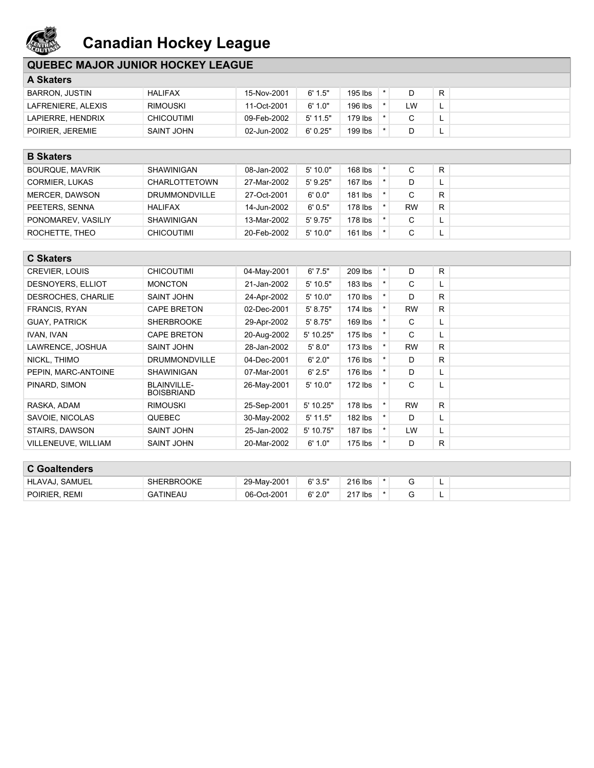

### **QUEBEC MAJOR JUNIOR HOCKEY LEAGUE**

| <b>A Skaters</b>      |                   |             |            |         |    |           |  |
|-----------------------|-------------------|-------------|------------|---------|----|-----------|--|
| <b>BARRON, JUSTIN</b> | <b>HALIFAX</b>    | 15-Nov-2001 | 6' 1.5"    | 195 lbs |    | R         |  |
| LAFRENIERE, ALEXIS    | <b>RIMOUSKI</b>   | 11-Oct-2001 | 6' 1.0"    | 196 lbs | LW | <u>ы.</u> |  |
| LAPIERRE, HENDRIX     | <b>CHICOUTIMI</b> | 09-Feb-2002 | $5'$ 11.5" | 179 lbs |    | <b>.</b>  |  |
| POIRIER, JEREMIE      | SAINT JOHN        | 02-Jun-2002 | 6'0.25"    | 199 lbs |    | <b>.</b>  |  |

| <b>B</b> Skaters       |                      |             |            |           |           |    |  |
|------------------------|----------------------|-------------|------------|-----------|-----------|----|--|
| <b>BOURQUE, MAVRIK</b> | SHAWINIGAN           | 08-Jan-2002 | 5'10.0"    | 168 lbs   | С         | R  |  |
| <b>CORMIER, LUKAS</b>  | <b>CHARLOTTETOWN</b> | 27-Mar-2002 | $5'$ 9.25" | $167$ lbs |           | -  |  |
| MERCER, DAWSON         | <b>DRUMMONDVILLE</b> | 27-Oct-2001 | 6'0.0"     | $181$ lbs |           | R. |  |
| PEETERS, SENNA         | <b>HALIFAX</b>       | 14-Jun-2002 | 6'0.5"     | 178 lbs   | <b>RW</b> | R. |  |
| PONOMAREV, VASILIY     | SHAWINIGAN           | 13-Mar-2002 | $5'$ 9.75" | 178 lbs   | С         |    |  |
| ROCHETTE, THEO         | CHICOUTIMI           | 20-Feb-2002 | 5'10.0"    | $161$ lbs |           |    |  |

| <b>C Skaters</b>           |                                         |             |             |           |         |           |    |  |
|----------------------------|-----------------------------------------|-------------|-------------|-----------|---------|-----------|----|--|
| <b>CREVIER, LOUIS</b>      | <b>CHICOUTIMI</b>                       | 04-May-2001 | 6'7.5"      | 209 lbs   | $\star$ | D         | R. |  |
| DESNOYERS, ELLIOT          | <b>MONCTON</b>                          | 21-Jan-2002 | $5'$ 10.5"  | $183$ lbs |         | C         | L. |  |
| DESROCHES, CHARLIE         | <b>SAINT JOHN</b>                       | 24-Apr-2002 | 5'10.0"     | 170 lbs   | $\star$ | D         | R. |  |
| FRANCIS, RYAN              | <b>CAPE BRETON</b>                      | 02-Dec-2001 | 5' 8.75"    | 174 lbs   |         | <b>RW</b> | R. |  |
| <b>GUAY, PATRICK</b>       | <b>SHERBROOKE</b>                       | 29-Apr-2002 | 5' 8.75"    | $169$ lbs | $\star$ | C         | L. |  |
| IVAN, IVAN                 | <b>CAPE BRETON</b>                      | 20-Aug-2002 | $5'$ 10.25" | 175 lbs   | $\star$ | С         | L  |  |
| LAWRENCE, JOSHUA           | SAINT JOHN                              | 28-Jan-2002 | 5' 8.0"     | $173$ lbs |         | <b>RW</b> | R. |  |
| NICKL, THIMO               | <b>DRUMMONDVILLE</b>                    | 04-Dec-2001 | 6'2.0"      | 176 lbs   | $\star$ | D         | R. |  |
| PEPIN, MARC-ANTOINE        | SHAWINIGAN                              | 07-Mar-2001 | 6' 2.5"     | 176 lbs   |         | D         | L. |  |
| PINARD, SIMON              | <b>BLAINVILLE-</b><br><b>BOISBRIAND</b> | 26-May-2001 | 5'10.0"     | $172$ lbs |         | C         | L. |  |
| RASKA, ADAM                | <b>RIMOUSKI</b>                         | 25-Sep-2001 | $5'$ 10.25" | 178 lbs   | $\star$ | <b>RW</b> | R. |  |
| SAVOIE, NICOLAS            | <b>QUEBEC</b>                           | 30-May-2002 | $5'$ 11.5"  | $182$ lbs |         | D         | L. |  |
| STAIRS, DAWSON             | SAINT JOHN                              | 25-Jan-2002 | $5'$ 10.75" | $187$ lbs |         | <b>LW</b> | L. |  |
| <b>VILLENEUVE, WILLIAM</b> | <b>SAINT JOHN</b>                       | 20-Mar-2002 | 6' 1.0"     | $175$ lbs | $\star$ | D         | R. |  |

| <b>C Goaltenders</b> |                   |             |         |         |  |          |  |
|----------------------|-------------------|-------------|---------|---------|--|----------|--|
| HLAVAJ. SAMUEL       | <b>SHERBROOKE</b> | 29-May-2001 | 6'3.5"  | 216 lbs |  | <b>.</b> |  |
| POIRIER, REMI        | <b>GATINEAU</b>   | 06-Oct-2001 | 6' 2.0" | 217 lbs |  | <b>.</b> |  |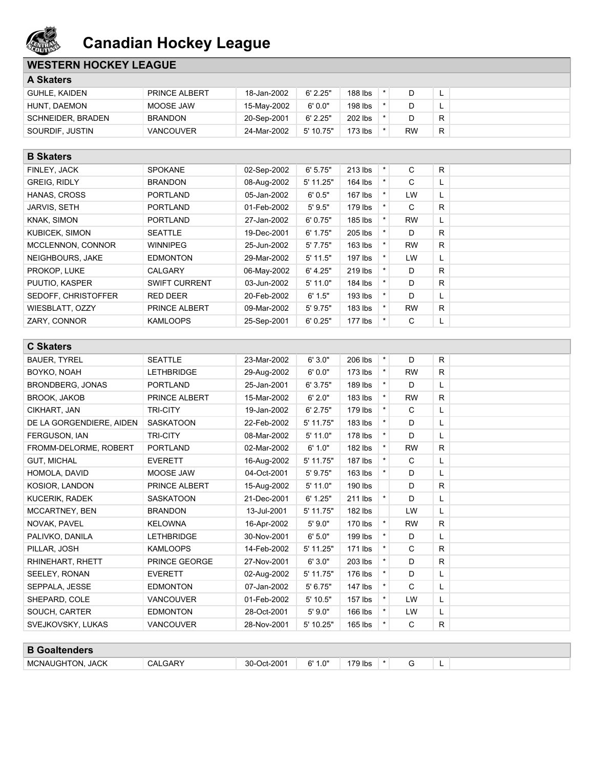

### **WESTERN HOCKEY LEAGUE**

| <b>A Skaters</b>  |                  |             |           |         |    |    |  |
|-------------------|------------------|-------------|-----------|---------|----|----|--|
| GUHLE, KAIDEN     | PRINCE ALBERT    | 18-Jan-2002 | 6' 2.25"  | 188 lbs |    |    |  |
| HUNT, DAEMON      | MOOSE JAW        | 15-Mav-2002 | 6'0.0"    | 198 lbs |    |    |  |
| SCHNEIDER, BRADEN | <b>BRANDON</b>   | 20-Sep-2001 | 6' 2.25"  | 202 lbs |    | R  |  |
| SOURDIF, JUSTIN   | <b>VANCOUVER</b> | 24-Mar-2002 | 5' 10.75" | 173 lbs | RW | R. |  |

| <b>B</b> Skaters    |                      |             |            |           |          |           |    |  |
|---------------------|----------------------|-------------|------------|-----------|----------|-----------|----|--|
| FINLEY, JACK        | <b>SPOKANE</b>       | 02-Sep-2002 | 6' 5.75"   | 213 lbs   | $\star$  | C         | R  |  |
| <b>GREIG, RIDLY</b> | <b>BRANDON</b>       | 08-Aug-2002 | 5' 11.25"  | $164$ lbs | $\star$  | C         | L. |  |
| HANAS, CROSS        | <b>PORTLAND</b>      | 05-Jan-2002 | 6'0.5"     | $167$ lbs | $\star$  | LW        | L. |  |
| <b>JARVIS, SETH</b> | <b>PORTLAND</b>      | 01-Feb-2002 | 5'9.5"     | 179 lbs   |          | С         | R  |  |
| KNAK, SIMON         | <b>PORTLAND</b>      | 27-Jan-2002 | 6' 0.75"   | 185 lbs   | $\star$  | <b>RW</b> | L  |  |
| KUBICEK, SIMON      | <b>SEATTLE</b>       | 19-Dec-2001 | 6' 1.75"   | 205 lbs   | $^\star$ | D         | R  |  |
| MCCLENNON, CONNOR   | <b>WINNIPEG</b>      | 25-Jun-2002 | 5'7.75"    | $163$ lbs | $\star$  | <b>RW</b> | R  |  |
| NEIGHBOURS, JAKE    | <b>EDMONTON</b>      | 29-Mar-2002 | $5'$ 11.5" | $197$ lbs | $\star$  | <b>LW</b> | L. |  |
| PROKOP, LUKE        | <b>CALGARY</b>       | 06-May-2002 | 6' 4.25"   | 219 lbs   | $\star$  | D         | R  |  |
| PUUTIO, KASPER      | <b>SWIFT CURRENT</b> | 03-Jun-2002 | $5'$ 11.0" | 184 lbs   | $\star$  | D         | R  |  |
| SEDOFF, CHRISTOFFER | <b>RED DEER</b>      | 20-Feb-2002 | 6' 1.5"    | 193 lbs   |          | D         | L. |  |
| WIESBLATT, OZZY     | <b>PRINCE ALBERT</b> | 09-Mar-2002 | 5' 9.75"   | 183 lbs   | $\star$  | <b>RW</b> | R. |  |
| ZARY, CONNOR        | <b>KAMLOOPS</b>      | 25-Sep-2001 | 6'0.25"    | 177 lbs   | $\star$  | С         | ч. |  |

| <b>C Skaters</b>         |                      |             |            |           |          |           |              |  |
|--------------------------|----------------------|-------------|------------|-----------|----------|-----------|--------------|--|
| <b>BAUER, TYREL</b>      | <b>SEATTLE</b>       | 23-Mar-2002 | 6'3.0"     | 206 lbs   | $\star$  | D         | R            |  |
| BOYKO, NOAH              | <b>LETHBRIDGE</b>    | 29-Aug-2002 | 6'0.0"     | $173$ lbs | $\star$  | <b>RW</b> | $\mathsf{R}$ |  |
| BRONDBERG, JONAS         | <b>PORTLAND</b>      | 25-Jan-2001 | 6'3.75"    | 189 lbs   | $\star$  | D         | L            |  |
| <b>BROOK, JAKOB</b>      | <b>PRINCE ALBERT</b> | 15-Mar-2002 | 6' 2.0"    | 183 lbs   |          | <b>RW</b> | $\mathsf{R}$ |  |
| CIKHART, JAN             | <b>TRI-CITY</b>      | 19-Jan-2002 | 6' 2.75"   | 179 lbs   | $^\star$ | C         | L            |  |
| DE LA GORGENDIERE, AIDEN | <b>SASKATOON</b>     | 22-Feb-2002 | 5' 11.75"  | 183 lbs   |          | D.        | L            |  |
| FERGUSON, IAN            | <b>TRI-CITY</b>      | 08-Mar-2002 | $5'$ 11.0" | 178 lbs   |          | D         | L            |  |
| FROMM-DELORME, ROBERT    | <b>PORTLAND</b>      | 02-Mar-2002 | 6' 1.0"    | 182 lbs   |          | <b>RW</b> | R            |  |
| <b>GUT. MICHAL</b>       | <b>EVERETT</b>       | 16-Aug-2002 | 5' 11.75"  | 187 lbs   |          | C         | L            |  |
| HOMOLA, DAVID            | MOOSE JAW            | 04-Oct-2001 | 5' 9.75"   | 163 lbs   |          | D.        | L            |  |
| KOSIOR. LANDON           | PRINCE ALBERT        | 15-Aug-2002 | 5' 11.0"   | 190 lbs   |          | D         | R.           |  |
| <b>KUCERIK, RADEK</b>    | <b>SASKATOON</b>     | 21-Dec-2001 | 6' 1.25"   | 211 lbs   |          | D         | L            |  |
| MCCARTNEY, BEN           | <b>BRANDON</b>       | 13-Jul-2001 | 5' 11.75"  | 182 lbs   |          | LW        | L            |  |
| NOVAK, PAVEL             | <b>KELOWNA</b>       | 16-Apr-2002 | 5'9.0"     | 170 lbs   |          | <b>RW</b> | R.           |  |
| PALIVKO, DANILA          | <b>LETHBRIDGE</b>    | 30-Nov-2001 | 6' 5.0"    | 199 lbs   |          | D         | L            |  |
| PILLAR, JOSH             | <b>KAMLOOPS</b>      | 14-Feb-2002 | 5' 11.25"  | 171 lbs   |          | C         | R.           |  |
| RHINEHART, RHETT         | <b>PRINCE GEORGE</b> | 27-Nov-2001 | 6'3.0"     | 203 lbs   |          | D         | $\mathsf{R}$ |  |
| SEELEY, RONAN            | <b>EVERETT</b>       | 02-Aug-2002 | 5' 11.75"  | 176 lbs   |          | D         | L            |  |
| SEPPALA, JESSE           | <b>EDMONTON</b>      | 07-Jan-2002 | 5' 6.75"   | 147 lbs   | $\star$  | C         | L            |  |
| SHEPARD, COLE            | <b>VANCOUVER</b>     | 01-Feb-2002 | 5' 10.5"   | 157 lbs   | $\star$  | LW        | L            |  |
| SOUCH. CARTER            | <b>EDMONTON</b>      | 28-Oct-2001 | 5'9.0"     | 166 lbs   |          | LW        | L            |  |
| SVEJKOVSKY, LUKAS        | <b>VANCOUVER</b>     | 28-Nov-2001 | 5' 10.25"  | 165 lbs   |          | C         | R.           |  |
|                          |                      |             |            |           |          |           |              |  |
| <b>B</b> Goaltenders     |                      |             |            |           |          |           |              |  |

| _____________            |                                                          |                                              |                                      |              |  |   |  |
|--------------------------|----------------------------------------------------------|----------------------------------------------|--------------------------------------|--------------|--|---|--|
| <b>JACK</b><br>MCI<br>'N | $\mathsf{\_GAR}^\vee$<br>ີ^`<br>$\overline{\phantom{a}}$ | t-2001.<br>30-<br>$\lambda$<br>$\mathcal{L}$ | $\sim$<br>$\sim$<br><b>.U</b><br>. . | Inc<br>בטו ש |  | - |  |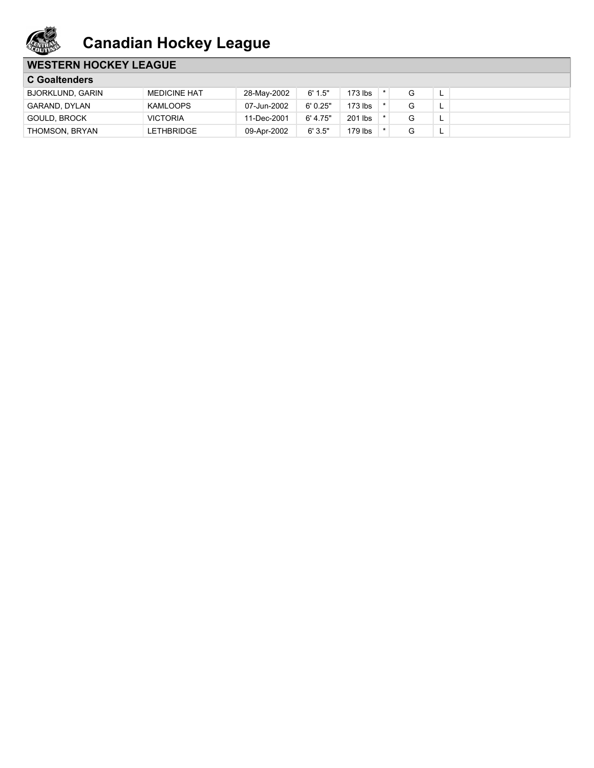

### **WESTERN HOCKEY LEAGUE**

| <b>C</b> Goaltenders    |                     |             |          |         |  |          |
|-------------------------|---------------------|-------------|----------|---------|--|----------|
| <b>BJORKLUND, GARIN</b> | <b>MEDICINE HAT</b> | 28-May-2002 | 6' 1.5"  | 173 lbs |  |          |
| GARAND. DYLAN           | KAMLOOPS            | 07-Jun-2002 | 6'0.25"  | 173 lbs |  |          |
| GOULD, BROCK            | <b>VICTORIA</b>     | 11-Dec-2001 | 6' 4.75" | 201 lbs |  |          |
| THOMSON, BRYAN          | LETHBRIDGE          | 09-Apr-2002 | 6'3.5"   | 179 lbs |  | <u>.</u> |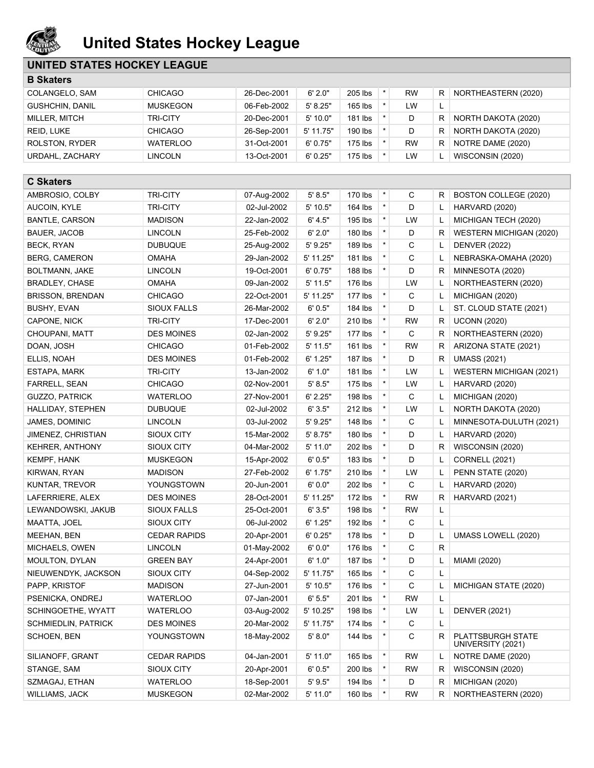

## **United States Hockey League**

### **UNITED STATES HOCKEY LEAGUE**

| <b>B Skaters</b>           |                     |             |            |           |            |             |   |                                        |
|----------------------------|---------------------|-------------|------------|-----------|------------|-------------|---|----------------------------------------|
| COLANGELO, SAM             | <b>CHICAGO</b>      | 26-Dec-2001 | 6' 2.0"    | 205 lbs   | $\star$    | <b>RW</b>   | R | NORTHEASTERN (2020)                    |
| <b>GUSHCHIN, DANIL</b>     | <b>MUSKEGON</b>     | 06-Feb-2002 | 5' 8.25"   | $165$ lbs | $\star$    | LW          | L |                                        |
| MILLER, MITCH              | <b>TRI-CITY</b>     | 20-Dec-2001 | 5' 10.0"   | 181 lbs   | $\star$    | D           | R | NORTH DAKOTA (2020)                    |
| REID, LUKE                 | <b>CHICAGO</b>      | 26-Sep-2001 | 5' 11.75"  | 190 lbs   | $\star$    | D           | R | NORTH DAKOTA (2020)                    |
| ROLSTON, RYDER             | <b>WATERLOO</b>     | 31-Oct-2001 | 6' 0.75"   | 175 lbs   | $\star$    | <b>RW</b>   | R | NOTRE DAME (2020)                      |
| URDAHL, ZACHARY            | <b>LINCOLN</b>      | 13-Oct-2001 | 6'0.25"    | 175 lbs   | $\star$    | LW          | L | WISCONSIN (2020)                       |
|                            |                     |             |            |           |            |             |   |                                        |
| <b>C Skaters</b>           |                     |             |            |           |            |             |   |                                        |
| AMBROSIO, COLBY            | <b>TRI-CITY</b>     | 07-Aug-2002 | 5' 8.5"    | 170 lbs   | $\star$    | С           | R | BOSTON COLLEGE (2020)                  |
| AUCOIN, KYLE               | <b>TRI-CITY</b>     | 02-Jul-2002 | 5' 10.5"   | 164 lbs   | $\star$    | D           | L | HARVARD (2020)                         |
| <b>BANTLE, CARSON</b>      | <b>MADISON</b>      | 22-Jan-2002 | 6' 4.5"    | 195 lbs   | $\star$    | LW          | L | MICHIGAN TECH (2020)                   |
| BAUER, JACOB               | <b>LINCOLN</b>      | 25-Feb-2002 | 6' 2.0"    | 180 lbs   | $\star$    | D           | R | WESTERN MICHIGAN (2020)                |
| <b>BECK, RYAN</b>          | <b>DUBUQUE</b>      | 25-Aug-2002 | 5'9.25"    | 189 lbs   | $\star$    | C           | L | <b>DENVER (2022)</b>                   |
| <b>BERG, CAMERON</b>       | <b>OMAHA</b>        | 29-Jan-2002 | 5' 11.25"  | 181 lbs   | $\star$    | C           | L | NEBRASKA-OMAHA (2020)                  |
| BOLTMANN, JAKE             | <b>LINCOLN</b>      | 19-Oct-2001 | 6' 0.75"   | 188 lbs   | $\star$    | D           | R | MINNESOTA (2020)                       |
| <b>BRADLEY, CHASE</b>      | <b>OMAHA</b>        | 09-Jan-2002 | $5'$ 11.5" | 176 lbs   |            | LW          | L | NORTHEASTERN (2020)                    |
| <b>BRISSON, BRENDAN</b>    | <b>CHICAGO</b>      | 22-Oct-2001 | 5' 11.25"  | 177 lbs   | $^{\star}$ | C           | L | MICHIGAN (2020)                        |
| BUSHY, EVAN                | <b>SIOUX FALLS</b>  | 26-Mar-2002 | 6'0.5"     | 184 lbs   | $\star$    | D           | Г | ST. CLOUD STATE (2021)                 |
| CAPONE, NICK               | <b>TRI-CITY</b>     | 17-Dec-2001 | 6' 2.0"    | 210 lbs   | $\star$    | <b>RW</b>   | R | <b>UCONN (2020)</b>                    |
| CHOUPANI, MATT             | <b>DES MOINES</b>   | 02-Jan-2002 | 5' 9.25"   | 177 lbs   | $\star$    | C           | R | NORTHEASTERN (2020)                    |
| DOAN, JOSH                 | <b>CHICAGO</b>      | 01-Feb-2002 | 5' 11.5"   | 161 lbs   | $\star$    | <b>RW</b>   | R | ARIZONA STATE (2021)                   |
| ELLIS, NOAH                | <b>DES MOINES</b>   | 01-Feb-2002 | 6' 1.25"   | 187 lbs   | $\star$    | D           | R | <b>UMASS (2021)</b>                    |
| ESTAPA, MARK               | <b>TRI-CITY</b>     | 13-Jan-2002 | 6' 1.0"    | 181 lbs   | $\star$    | LW          | L | WESTERN MICHIGAN (2021)                |
| <b>FARRELL, SEAN</b>       | <b>CHICAGO</b>      | 02-Nov-2001 | 5' 8.5"    | 175 lbs   | $\star$    | LW          | L | HARVARD (2020)                         |
| <b>GUZZO, PATRICK</b>      | <b>WATERLOO</b>     | 27-Nov-2001 | 6' 2.25"   | 198 lbs   | $\star$    | $\mathbf C$ | L | MICHIGAN (2020)                        |
| HALLIDAY, STEPHEN          | <b>DUBUQUE</b>      | 02-Jul-2002 | 6'3.5"     | 212 lbs   | $\star$    | LW          | L | NORTH DAKOTA (2020)                    |
| JAMES, DOMINIC             | <b>LINCOLN</b>      | 03-Jul-2002 | 5'9.25"    | 148 lbs   | $\star$    | C           | L | MINNESOTA-DULUTH (2021)                |
| JIMENEZ, CHRISTIAN         | SIOUX CITY          | 15-Mar-2002 | 5' 8.75"   | 180 lbs   | $\star$    | D           | L | HARVARD (2020)                         |
| <b>KEHRER, ANTHONY</b>     | SIOUX CITY          | 04-Mar-2002 | 5' 11.0"   | 202 lbs   | $\star$    | D           | R | WISCONSIN (2020)                       |
| KEMPF, HANK                | <b>MUSKEGON</b>     | 15-Apr-2002 | 6'0.5"     | 183 lbs   | $\star$    | D           | L | <b>CORNELL (2021)</b>                  |
| KIRWAN, RYAN               | <b>MADISON</b>      | 27-Feb-2002 | 6' 1.75"   | 210 lbs   | $\star$    | LW          | L | PENN STATE (2020)                      |
| KUNTAR, TREVOR             | YOUNGSTOWN          | 20-Jun-2001 | 6'0.0"     | 202 lbs   | $\star$    | C           | L | HARVARD (2020)                         |
| LAFERRIERE, ALEX           | <b>DES MOINES</b>   | 28-Oct-2001 | 5' 11.25"  | 172 lbs   | $\star$    | <b>RW</b>   | R | HARVARD (2021)                         |
| LEWANDOWSKI, JAKUB         | <b>SIOUX FALLS</b>  | 25-Oct-2001 | 6'3.5"     | 198 lbs   | $\star$    | <b>RW</b>   |   |                                        |
| MAATTA, JOEL               | SIOUX CITY          | 06-Jul-2002 | 6' 1.25"   | 192 lbs   | $\star$    | С           | L |                                        |
| MEEHAN, BEN                | <b>CEDAR RAPIDS</b> | 20-Apr-2001 | 6'0.25"    | 178 lbs   | ×          | D           | L | UMASS LOWELL (2020)                    |
| MICHAELS, OWEN             | <b>LINCOLN</b>      | 01-May-2002 | 6'0.0"     | 176 lbs   | *          | C           | R |                                        |
| MOULTON, DYLAN             | <b>GREEN BAY</b>    | 24-Apr-2001 | 6' 1.0"    | 187 lbs   | $\star$    | D           | L | MIAMI (2020)                           |
| NIEUWENDYK, JACKSON        | SIOUX CITY          | 04-Sep-2002 | 5' 11.75"  | 165 lbs   | $\star$    | С           | Г |                                        |
| PAPP, KRISTOF              | <b>MADISON</b>      | 27-Jun-2001 | 5' 10.5"   | 176 lbs   | *          | C           | L | MICHIGAN STATE (2020)                  |
| PSENICKA, ONDREJ           | <b>WATERLOO</b>     | 07-Jan-2001 | 6' 5.5"    | 201 lbs   | *          | <b>RW</b>   | Г |                                        |
| SCHINGOETHE, WYATT         | <b>WATERLOO</b>     | 03-Aug-2002 | 5' 10.25"  | 198 lbs   | $\star$    | LW          | L | <b>DENVER (2021)</b>                   |
| <b>SCHMIEDLIN, PATRICK</b> | <b>DES MOINES</b>   | 20-Mar-2002 | 5' 11.75"  | 174 lbs   | *          | C           | L |                                        |
| SCHOEN, BEN                | YOUNGSTOWN          | 18-May-2002 | 5' 8.0"    | 144 lbs   | *          | C           | R | PLATTSBURGH STATE<br>UNIVERSITY (2021) |
| SILIANOFF, GRANT           | <b>CEDAR RAPIDS</b> | 04-Jan-2001 | 5' 11.0"   | 165 lbs   | *          | <b>RW</b>   | L | NOTRE DAME (2020)                      |
| STANGE, SAM                | SIOUX CITY          | 20-Apr-2001 | 6' 0.5"    | 200 lbs   | $^{\star}$ | <b>RW</b>   | R | WISCONSIN (2020)                       |
| SZMAGAJ, ETHAN             | <b>WATERLOO</b>     | 18-Sep-2001 | 5'9.5"     | 194 lbs   | *          | D           | R | MICHIGAN (2020)                        |
| WILLIAMS, JACK             | <b>MUSKEGON</b>     | 02-Mar-2002 | 5' 11.0"   | 160 lbs   | *          | <b>RW</b>   | R | NORTHEASTERN (2020)                    |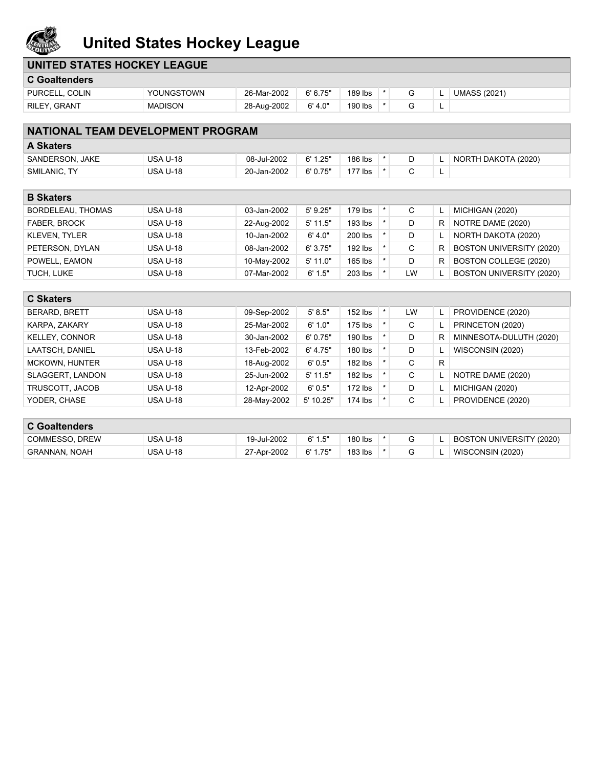

## **United States Hockey League**

| <b>C</b> Goaltenders                     |                 |             |            |           |         |    |   |                          |
|------------------------------------------|-----------------|-------------|------------|-----------|---------|----|---|--------------------------|
| PURCELL, COLIN                           | YOUNGSTOWN      | 26-Mar-2002 | 6' 6.75''  | 189 lbs   | $\star$ | G  | L | <b>UMASS (2021)</b>      |
| RILEY, GRANT                             | <b>MADISON</b>  | 28-Aug-2002 | 6' 4.0"    | 190 lbs   | $\star$ | G  | L |                          |
|                                          |                 |             |            |           |         |    |   |                          |
| <b>NATIONAL TEAM DEVELOPMENT PROGRAM</b> |                 |             |            |           |         |    |   |                          |
| <b>A Skaters</b>                         |                 |             |            |           |         |    |   |                          |
| SANDERSON, JAKE                          | <b>USA U-18</b> | 08-Jul-2002 | 6' 1.25"   | 186 lbs   | $\star$ | D  | L | NORTH DAKOTA (2020)      |
| SMILANIC, TY                             | <b>USA U-18</b> | 20-Jan-2002 | 6' 0.75"   | 177 lbs   | $\star$ | C  | Г |                          |
|                                          |                 |             |            |           |         |    |   |                          |
| <b>B Skaters</b>                         |                 |             |            |           |         |    |   |                          |
| <b>BORDELEAU, THOMAS</b>                 | <b>USA U-18</b> | 03-Jan-2002 | 5' 9.25"   | 179 lbs   | $\star$ | C  | L | MICHIGAN (2020)          |
| FABER, BROCK                             | <b>USA U-18</b> | 22-Aug-2002 | $5'$ 11.5" | 193 lbs   | $\star$ | D  | R | NOTRE DAME (2020)        |
| <b>KLEVEN, TYLER</b>                     | <b>USA U-18</b> | 10-Jan-2002 | 6' 4.0"    | 200 lbs   | $\star$ | D  |   | NORTH DAKOTA (2020)      |
| PETERSON, DYLAN                          | <b>USA U-18</b> | 08-Jan-2002 | 6'3.75"    | 192 lbs   | $\star$ | C  | R | BOSTON UNIVERSITY (2020) |
| POWELL, EAMON                            | <b>USA U-18</b> | 10-May-2002 | 5' 11.0"   | $165$ lbs | $\star$ | D  | R | BOSTON COLLEGE (2020)    |
| TUCH, LUKE                               | <b>USA U-18</b> | 07-Mar-2002 | 6' 1.5"    | 203 lbs   | $\star$ | LW |   | BOSTON UNIVERSITY (2020) |
| <b>C Skaters</b>                         |                 |             |            |           |         |    |   |                          |
|                                          |                 |             |            |           |         |    |   |                          |
| <b>BERARD, BRETT</b>                     | <b>USA U-18</b> | 09-Sep-2002 | 5' 8.5"    | 152 lbs   | $\star$ | LW | L | PROVIDENCE (2020)        |
| KARPA, ZAKARY                            | <b>USA U-18</b> | 25-Mar-2002 | 6' 1.0"    | 175 lbs   | $\star$ | C  | L | PRINCETON (2020)         |
| <b>KELLEY, CONNOR</b>                    | <b>USA U-18</b> | 30-Jan-2002 | 6' 0.75"   | 190 lbs   | $\star$ | D  | R | MINNESOTA-DULUTH (2020)  |
| LAATSCH, DANIEL                          | <b>USA U-18</b> | 13-Feb-2002 | 6' 4.75"   | 180 lbs   |         | D  |   | WISCONSIN (2020)         |
| MCKOWN, HUNTER                           | <b>USA U-18</b> | 18-Aug-2002 | 6'0.5"     | 182 lbs   | $\star$ | C  | R |                          |
| SLAGGERT, LANDON                         | <b>USA U-18</b> | 25-Jun-2002 | $5'$ 11.5" | 182 lbs   | $\star$ | C  |   | NOTRE DAME (2020)        |
| TRUSCOTT, JACOB                          | <b>USA U-18</b> | 12-Apr-2002 | 6'0.5"     | $172$ lbs | $\star$ | D  |   | MICHIGAN (2020)          |
| YODER, CHASE                             | <b>USA U-18</b> | 28-May-2002 | 5' 10.25"  | 174 lbs   | $\star$ | C  |   | PROVIDENCE (2020)        |
| <b>C</b> Goaltenders                     |                 |             |            |           |         |    |   |                          |
|                                          |                 |             |            |           |         |    |   |                          |
| COMMESSO, DREW                           | <b>USA U-18</b> | 19-Jul-2002 | 6' 1.5"    | 180 lbs   | $\star$ | G  | L | BOSTON UNIVERSITY (2020) |
| <b>GRANNAN, NOAH</b>                     | <b>USA U-18</b> | 27-Apr-2002 | 6' 1.75"   | 183 lbs   | $\star$ | G  | L | WISCONSIN (2020)         |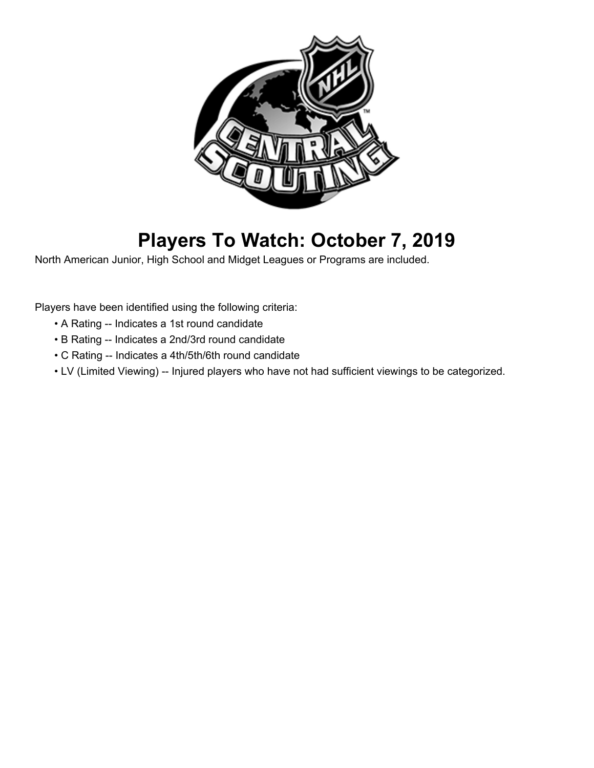

# **Players To Watch: October 7, 2019**

North American Junior, High School and Midget Leagues or Programs are included.

Players have been identified using the following criteria:

- A Rating -- Indicates a 1st round candidate
- B Rating -- Indicates a 2nd/3rd round candidate
- C Rating -- Indicates a 4th/5th/6th round candidate
- LV (Limited Viewing) -- Injured players who have not had sufficient viewings to be categorized.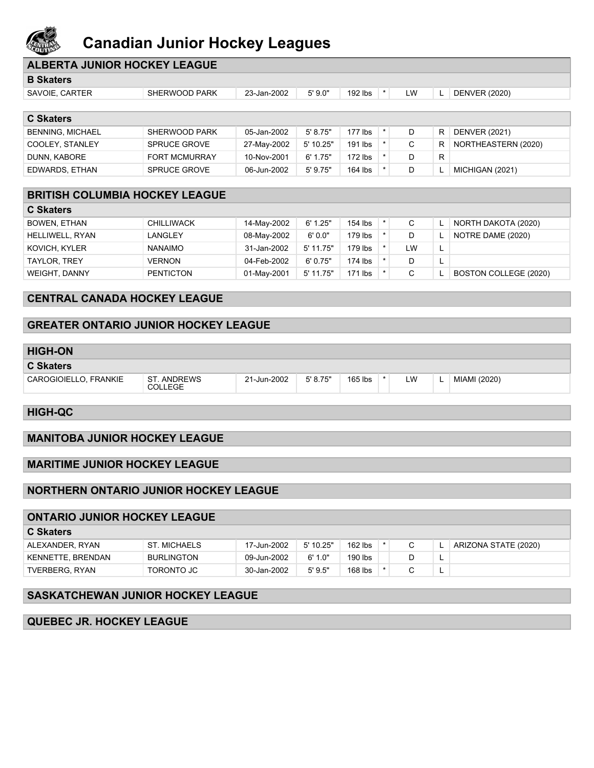

### **Canadian Junior Hockey Leagues**

| <b>ALBERTA JUNIOR HOCKEY LEAGUE</b>   |                      |             |            |           |         |           |    |                      |  |
|---------------------------------------|----------------------|-------------|------------|-----------|---------|-----------|----|----------------------|--|
| <b>B</b> Skaters                      |                      |             |            |           |         |           |    |                      |  |
| SAVOIE, CARTER                        | SHERWOOD PARK        | 23-Jan-2002 | 5'9.0"     | 192 lbs   | $\star$ | <b>LW</b> | L. | <b>DENVER (2020)</b> |  |
|                                       |                      |             |            |           |         |           |    |                      |  |
| <b>C</b> Skaters                      |                      |             |            |           |         |           |    |                      |  |
| <b>BENNING, MICHAEL</b>               | SHERWOOD PARK        | 05-Jan-2002 | 5' 8.75"   | $177$ lbs | $\star$ | D         | R. | <b>DENVER (2021)</b> |  |
| COOLEY, STANLEY                       | <b>SPRUCE GROVE</b>  | 27-May-2002 | 5' 10.25"  | 191 lbs   | $\star$ | C         | R. | NORTHEASTERN (2020)  |  |
| DUNN, KABORE                          | <b>FORT MCMURRAY</b> | 10-Nov-2001 | 6' 1.75"   | $172$ lbs |         | D         | R. |                      |  |
| EDWARDS, ETHAN                        | <b>SPRUCE GROVE</b>  | 06-Jun-2002 | $5'$ 9.75" | 164 lbs   |         | D         | L. | MICHIGAN (2021)      |  |
|                                       |                      |             |            |           |         |           |    |                      |  |
| <b>BRITISH COLUMBIA HOCKEY LEAGUE</b> |                      |             |            |           |         |           |    |                      |  |
| <b>C Skaters</b>                      |                      |             |            |           |         |           |    |                      |  |

| BOWEN, ETHAN         | <b>CHILLIWACK</b> | 14-May-2002 | 6' 1.25"  | 154 lbs   | ◡  | NORTH DAKOTA (2020)   |
|----------------------|-------------------|-------------|-----------|-----------|----|-----------------------|
| HELLIWELL, RYAN      | <b>LANGLEY</b>    | 08-May-2002 | 6' 0.0"   | 179 lbs   | D  | NOTRE DAME (2020)     |
| KOVICH, KYLER        | <b>NANAIMO</b>    | 31-Jan-2002 | 5' 11.75" | 179 lbs   | LW |                       |
| TAYLOR, TREY         | <b>VERNON</b>     | 04-Feb-2002 | 6'0.75"   | $174$ lbs | D  |                       |
| <b>WEIGHT, DANNY</b> | <b>PENTICTON</b>  | 01-May-2001 | 5' 11.75" | $171$ lbs |    | BOSTON COLLEGE (2020) |

#### **CENTRAL CANADA HOCKEY LEAGUE**

#### **GREATER ONTARIO JUNIOR HOCKEY LEAGUE**

| <b>HIGH-ON</b>        |                               |             |          |           |    |              |
|-----------------------|-------------------------------|-------------|----------|-----------|----|--------------|
| <b>C Skaters</b>      |                               |             |          |           |    |              |
| CAROGIOIELLO, FRANKIE | ST. ANDREWS<br><b>COLLEGE</b> | 21-Jun-2002 | 5' 8.75" | $165$ lbs | LW | MIAMI (2020) |

**HIGH-QC**

#### **MANITOBA JUNIOR HOCKEY LEAGUE**

#### **MARITIME JUNIOR HOCKEY LEAGUE**

#### **NORTHERN ONTARIO JUNIOR HOCKEY LEAGUE**

#### **ONTARIO JUNIOR HOCKEY LEAGUE**

| <b>C</b> Skaters  |                   |             |           |           |  |                      |
|-------------------|-------------------|-------------|-----------|-----------|--|----------------------|
| ALEXANDER, RYAN   | ST. MICHAELS      | 17-Jun-2002 | 5' 10.25" | $162$ lbs |  | ARIZONA STATE (2020) |
| KENNETTE, BRENDAN | <b>BURLINGTON</b> | 09-Jun-2002 | 6'1.0"    | 190 lbs   |  |                      |
| TVERBERG, RYAN    | <b>TORONTO JC</b> | 30-Jan-2002 | 5' 9.5"   | 168 lbs   |  |                      |
|                   |                   |             |           |           |  |                      |

#### **SASKATCHEWAN JUNIOR HOCKEY LEAGUE**

**QUEBEC JR. HOCKEY LEAGUE**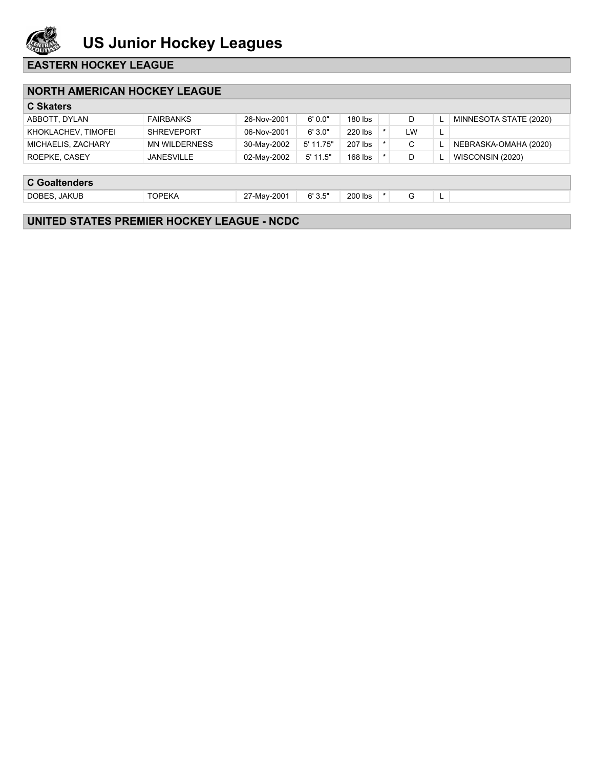

#### **EASTERN HOCKEY LEAGUE**

#### **NORTH AMERICAN HOCKEY LEAGUE**

| <b>C Skaters</b>    |                   |             |            |           |    |          |                        |
|---------------------|-------------------|-------------|------------|-----------|----|----------|------------------------|
| ABBOTT, DYLAN       | <b>FAIRBANKS</b>  | 26-Nov-2001 | 6'0.0"     | 180 lbs   |    |          | MINNESOTA STATE (2020) |
| KHOKLACHEV, TIMOFEI | <b>SHREVEPORT</b> | 06-Nov-2001 | 6'3.0"     | 220 lbs   | LW | <b>L</b> |                        |
| MICHAELIS, ZACHARY  | MN WILDERNESS     | 30-May-2002 | 5' 11.75"  | 207 lbs   | ັ  |          | NEBRASKA-OMAHA (2020)  |
| ROEPKE, CASEY       | <b>JANESVILLE</b> | 02-Mav-2002 | $5'$ 11.5" | $168$ lbs |    |          | WISCONSIN (2020)       |
|                     |                   |             |            |           |    |          |                        |
|                     |                   |             |            |           |    |          |                        |

#### **C Goaltenders**

DOBES, JAKUB TOPEKA 27-May-2001 6'3.5" 200 lbs \* G L

### **UNITED STATES PREMIER HOCKEY LEAGUE - NCDC**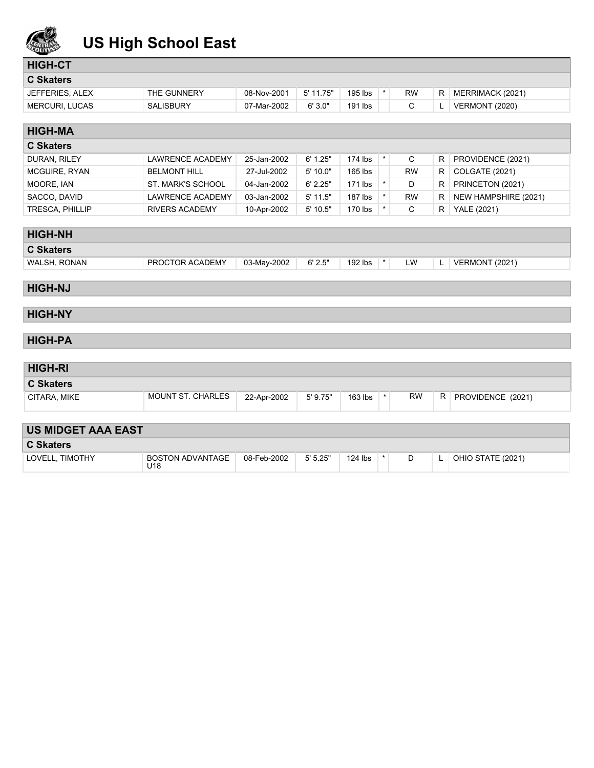

## **US High School East**

### **HIGH-CT**

| <b>C Skaters</b>      |                  |             |           |         |    |                       |
|-----------------------|------------------|-------------|-----------|---------|----|-----------------------|
| JEFFERIES, ALEX       | THE GUNNERY      | 08-Nov-2001 | 5' 11.75" | 195 lbs | RW | MERRIMACK (2021)      |
| <b>MERCURI, LUCAS</b> | <b>SALISBURY</b> | 07-Mar-2002 | 6'3.0"    | 191 lbs |    | <b>VERMONT (2020)</b> |

| <b>HIGH-MA</b>   |                         |             |            |           |  |           |    |                       |  |
|------------------|-------------------------|-------------|------------|-----------|--|-----------|----|-----------------------|--|
| <b>C Skaters</b> |                         |             |            |           |  |           |    |                       |  |
| DURAN, RILEY     | <b>LAWRENCE ACADEMY</b> | 25-Jan-2002 | 6' 1.25"   | $174$ lbs |  | C         | R. | PROVIDENCE (2021)     |  |
| MCGUIRE, RYAN    | <b>BELMONT HILL</b>     | 27-Jul-2002 | 5'10.0"    | $165$ lbs |  | <b>RW</b> | R. | <b>COLGATE (2021)</b> |  |
| MOORE, IAN       | ST. MARK'S SCHOOL       | 04-Jan-2002 | 6' 2.25"   | $171$ lbs |  | D         | R. | PRINCETON (2021)      |  |
| SACCO, DAVID     | LAWRENCE ACADEMY        | 03-Jan-2002 | $5'$ 11.5" | $187$ lbs |  | <b>RW</b> | R. | NEW HAMPSHIRE (2021)  |  |
| TRESCA, PHILLIP  | <b>RIVERS ACADEMY</b>   | 10-Apr-2002 | $5'$ 10.5" | $170$ lbs |  | С         | R  | YALE (2021)           |  |

| <b>HIGH-NH</b>   |                 |             |        |                      |     |          |                       |
|------------------|-----------------|-------------|--------|----------------------|-----|----------|-----------------------|
| <b>C Skaters</b> |                 |             |        |                      |     |          |                       |
| WALSH, RONAN     | PROCTOR ACADEMY | 03-May-2002 | 6'2.5" | $192$ lbs<br>$\star$ | LW. | <u>.</u> | <b>VERMONT (2021)</b> |
|                  |                 |             |        |                      |     |          |                       |

#### **HIGH-NJ**

#### **HIGH-NY**

#### **HIGH-PA**

### **HIGH-RI C Skaters** CITARA, MIKE MOUNT ST. CHARLES 22-Apr-2002 5'9.75" | 163 lbs  $*$  RW R PROVIDENCE (2021)

| <b>US MIDGET AAA EAST</b> |                                     |             |         |           |  |  |  |                   |  |
|---------------------------|-------------------------------------|-------------|---------|-----------|--|--|--|-------------------|--|
| <b>C Skaters</b>          |                                     |             |         |           |  |  |  |                   |  |
| LOVELL, TIMOTHY           | BOSTON ADVANTAGE<br>U <sub>18</sub> | 08-Feb-2002 | 5'5.25" | $124$ lbs |  |  |  | OHIO STATE (2021) |  |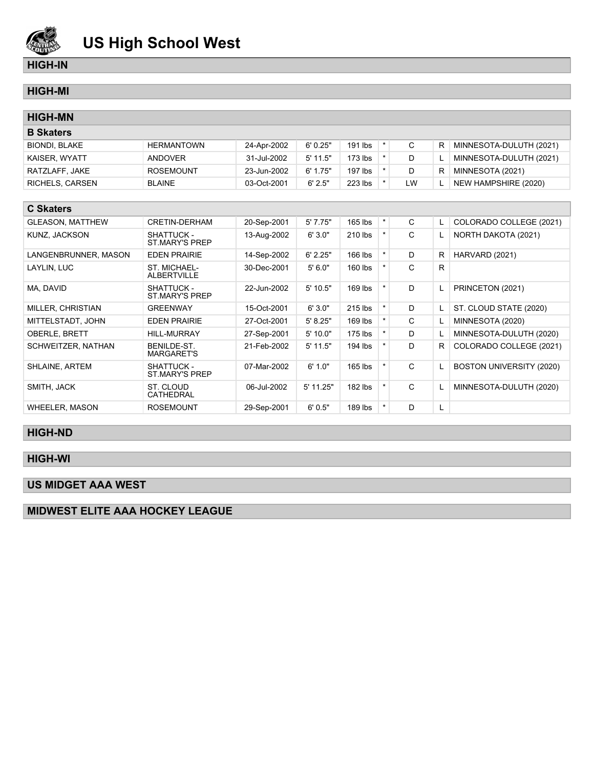

#### **HIGH-IN**

### **HIGH-MI**

| <b>HIGH-MN</b>          |                                     |             |            |           |            |    |              |                          |
|-------------------------|-------------------------------------|-------------|------------|-----------|------------|----|--------------|--------------------------|
| <b>B</b> Skaters        |                                     |             |            |           |            |    |              |                          |
| <b>BIONDI, BLAKE</b>    | <b>HERMANTOWN</b>                   | 24-Apr-2002 | 6'0.25"    | 191 lbs   | $^\star$   | C  | R            | MINNESOTA-DULUTH (2021)  |
| KAISER, WYATT           | <b>ANDOVER</b>                      | 31-Jul-2002 | $5'$ 11.5" | $173$ lbs | $\star$    | D  |              | MINNESOTA-DULUTH (2021)  |
| RATZLAFF, JAKE          | <b>ROSEMOUNT</b>                    | 23-Jun-2002 | 6' 1.75"   | $197$ lbs | $^\star$   | D  | R            | MINNESOTA (2021)         |
| RICHELS, CARSEN         | <b>BLAINE</b>                       | 03-Oct-2001 | 6' 2.5"    | 223 lbs   | $^{\star}$ | LW |              | NEW HAMPSHIRE (2020)     |
|                         |                                     |             |            |           |            |    |              |                          |
| <b>C Skaters</b>        |                                     |             |            |           |            |    |              |                          |
| <b>GLEASON, MATTHEW</b> | <b>CRETIN-DERHAM</b>                | 20-Sep-2001 | 5'7.75"    | $165$ lbs | $^\star$   | C  |              | COLORADO COLLEGE (2021)  |
| KUNZ, JACKSON           | SHATTUCK -<br><b>ST MARY'S PREP</b> | 13-Aug-2002 | 6'3.0"     | 210 lbs   | $^\star$   | C  |              | NORTH DAKOTA (2021)      |
| LANGENBRUNNER, MASON    | <b>EDEN PRAIRIE</b>                 | 14-Sep-2002 | 6' 2.25"   | 166 lbs   | $\star$    | D  | R            | HARVARD (2021)           |
| LAYLIN, LUC             | ST. MICHAEL-<br><b>ALBERTVILLE</b>  | 30-Dec-2001 | 5'6.0"     | 160 lbs   | $\star$    | C  | $\mathsf{R}$ |                          |
| MA, DAVID               | SHATTUCK -<br><b>ST.MARY'S PREP</b> | 22-Jun-2002 | $5'$ 10.5" | $169$ lbs | $\star$    | D  | L.           | PRINCETON (2021)         |
| MILLER, CHRISTIAN       | <b>GREENWAY</b>                     | 15-Oct-2001 | 6'3.0"     | 215 lbs   | $\star$    | D  | L            | ST. CLOUD STATE (2020)   |
| MITTELSTADT, JOHN       | <b>EDEN PRAIRIE</b>                 | 27-Oct-2001 | 5' 8.25"   | $169$ lbs | $\star$    | C  |              | MINNESOTA (2020)         |
| <b>OBERLE, BRETT</b>    | <b>HILL-MURRAY</b>                  | 27-Sep-2001 | 5'10.0"    | $175$ lbs | $\star$    | D  |              | MINNESOTA-DULUTH (2020)  |
| SCHWEITZER, NATHAN      | BENILDE-ST.<br><b>MARGARET'S</b>    | 21-Feb-2002 | $5'$ 11.5" | 194 lbs   | $\star$    | D  | R            | COLORADO COLLEGE (2021)  |
| SHLAINE, ARTEM          | SHATTUCK -<br>ST.MARY'S PREP        | 07-Mar-2002 | 6' 1.0"    | $165$ lbs | $\star$    | C  |              | BOSTON UNIVERSITY (2020) |
| SMITH, JACK             | ST. CLOUD<br><b>CATHEDRAL</b>       | 06-Jul-2002 | 5' 11.25"  | 182 lbs   | $\star$    | C  |              | MINNESOTA-DULUTH (2020)  |
| <b>WHEELER, MASON</b>   | <b>ROSEMOUNT</b>                    | 29-Sep-2001 | 6'0.5"     | 189 lbs   | $\star$    | D  | L            |                          |

#### **HIGH-ND**

#### **HIGH-WI**

#### **US MIDGET AAA WEST**

#### **MIDWEST ELITE AAA HOCKEY LEAGUE**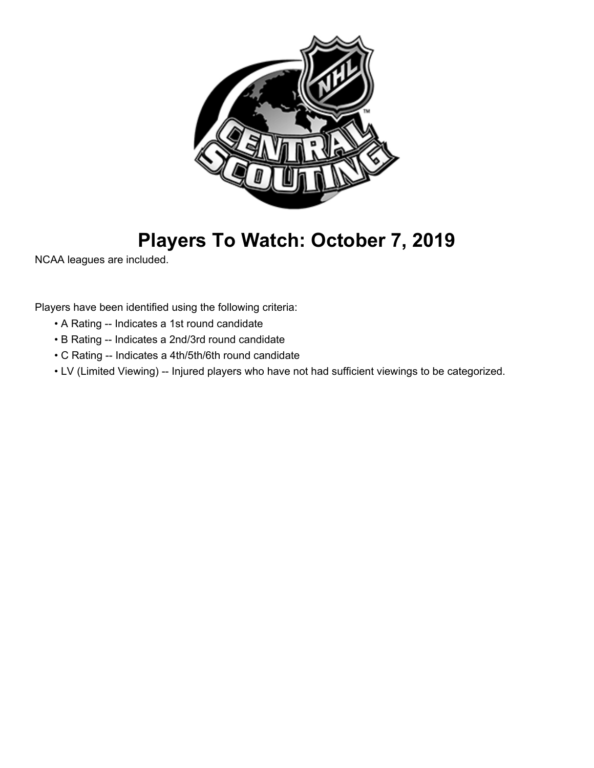

## **Players To Watch: October 7, 2019**

NCAA leagues are included.

Players have been identified using the following criteria:

- A Rating -- Indicates a 1st round candidate
- B Rating -- Indicates a 2nd/3rd round candidate
- C Rating -- Indicates a 4th/5th/6th round candidate
- LV (Limited Viewing) -- Injured players who have not had sufficient viewings to be categorized.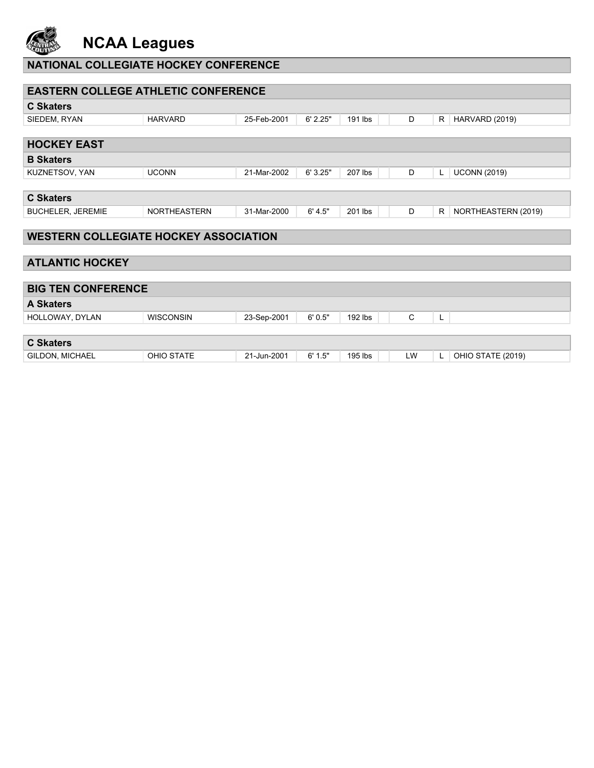

## **NCAA Leagues**

### **NATIONAL COLLEGIATE HOCKEY CONFERENCE**

| <b>EASTERN COLLEGE ATHLETIC CONFERENCE</b>   |                     |             |          |         |    |    |                     |
|----------------------------------------------|---------------------|-------------|----------|---------|----|----|---------------------|
| <b>C Skaters</b>                             |                     |             |          |         |    |    |                     |
| SIEDEM, RYAN                                 | <b>HARVARD</b>      | 25-Feb-2001 | 6' 2.25" | 191 lbs | D  | R  | HARVARD (2019)      |
|                                              |                     |             |          |         |    |    |                     |
| <b>HOCKEY EAST</b>                           |                     |             |          |         |    |    |                     |
| <b>B</b> Skaters                             |                     |             |          |         |    |    |                     |
| KUZNETSOV, YAN                               | <b>UCONN</b>        | 21-Mar-2002 | 6' 3.25" | 207 lbs | D  | L  | <b>UCONN (2019)</b> |
|                                              |                     |             |          |         |    |    |                     |
| <b>C Skaters</b>                             |                     |             |          |         |    |    |                     |
| <b>BUCHELER, JEREMIE</b>                     | <b>NORTHEASTERN</b> | 31-Mar-2000 | 6' 4.5"  | 201 lbs | D  | R  | NORTHEASTERN (2019) |
|                                              |                     |             |          |         |    |    |                     |
| <b>WESTERN COLLEGIATE HOCKEY ASSOCIATION</b> |                     |             |          |         |    |    |                     |
|                                              |                     |             |          |         |    |    |                     |
| <b>ATLANTIC HOCKEY</b>                       |                     |             |          |         |    |    |                     |
|                                              |                     |             |          |         |    |    |                     |
| <b>BIG TEN CONFERENCE</b>                    |                     |             |          |         |    |    |                     |
| <b>A Skaters</b>                             |                     |             |          |         |    |    |                     |
| HOLLOWAY, DYLAN                              | <b>WISCONSIN</b>    | 23-Sep-2001 | 6'0.5"   | 192 lbs | C  | L  |                     |
|                                              |                     |             |          |         |    |    |                     |
| <b>C Skaters</b>                             |                     |             |          |         |    |    |                     |
| <b>GILDON, MICHAEL</b>                       | <b>OHIO STATE</b>   | 21-Jun-2001 | 6' 1.5"  | 195 lbs | LW | L. | OHIO STATE (2019)   |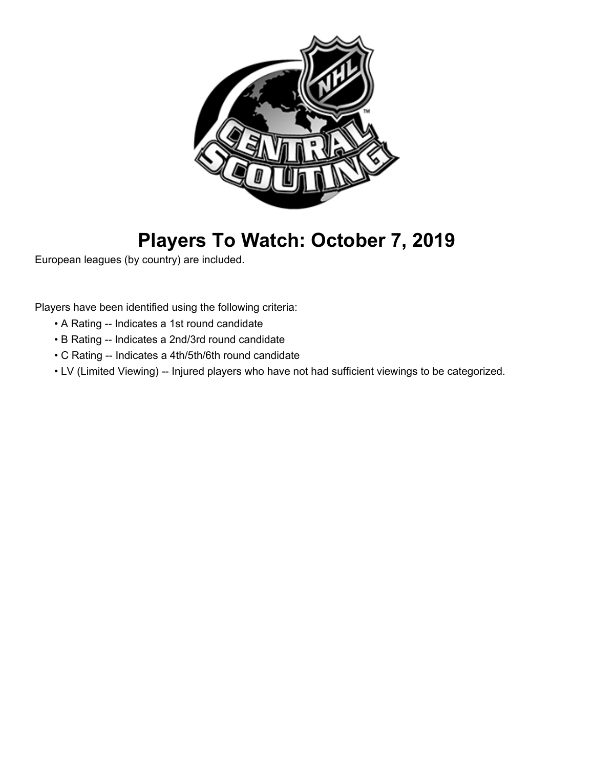

# **Players To Watch: October 7, 2019**

European leagues (by country) are included.

Players have been identified using the following criteria:

- A Rating -- Indicates a 1st round candidate
- B Rating -- Indicates a 2nd/3rd round candidate
- C Rating -- Indicates a 4th/5th/6th round candidate
- LV (Limited Viewing) -- Injured players who have not had sufficient viewings to be categorized.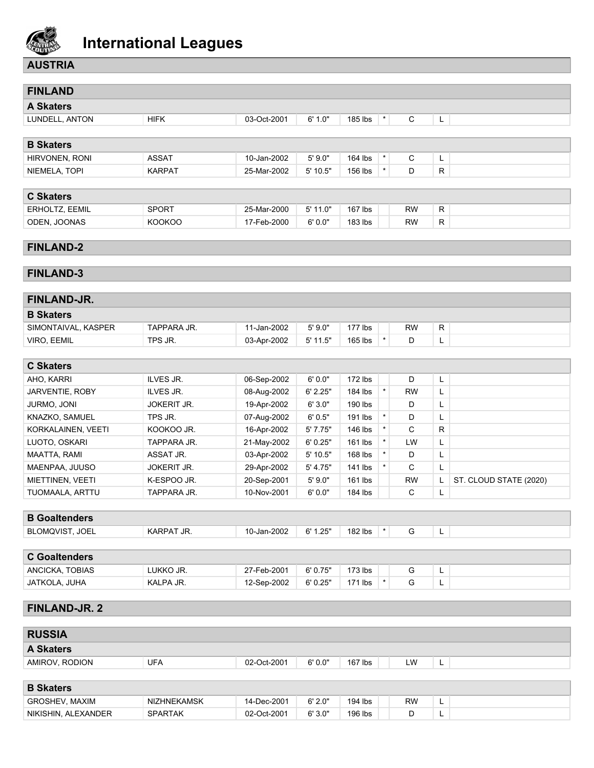

### **AUSTRIA**

| <b>FINLAND</b>        |               |               |              |              |         |                  |              |
|-----------------------|---------------|---------------|--------------|--------------|---------|------------------|--------------|
| <b>A Skaters</b>      |               |               |              |              |         |                  |              |
| LUNDELL, ANTON        | <b>HIFK</b>   | 03-Oct-2001   | 6' 1.0"      | 185 lbs      | $\star$ | C                | L            |
|                       |               |               |              |              |         |                  |              |
| <b>B Skaters</b>      |               |               |              |              |         |                  |              |
| HIRVONEN, RONI        | <b>ASSAT</b>  | 10-Jan-2002   | 5'9.0"       | 164 lbs      | $\star$ | $\mathsf C$      | L            |
| NIEMELA, TOPI         | <b>KARPAT</b> | 25-Mar-2002   | 5'10.5"      | 156 lbs      | $\star$ | D                | R.           |
|                       |               |               |              |              |         |                  |              |
| <b>C Skaters</b>      |               |               |              |              |         |                  |              |
| ERHOLTZ, EEMIL        | <b>SPORT</b>  | 25-Mar-2000   | $5'$ 11.0"   | 167 lbs      |         | <b>RW</b>        | R.           |
| ODEN, JOONAS          | <b>KOOKOO</b> | 17-Feb-2000   | 6'0.0"       | 183 lbs      |         | <b>RW</b>        | $\mathsf{R}$ |
|                       |               |               |              |              |         |                  |              |
| <b>FINLAND-2</b>      |               |               |              |              |         |                  |              |
|                       |               |               |              |              |         |                  |              |
| <b>FINLAND-3</b>      |               |               |              |              |         |                  |              |
|                       |               |               |              |              |         |                  |              |
| FINLAND-JR.           |               |               |              |              |         |                  |              |
| <b>B</b> Skaters      |               |               |              |              |         |                  |              |
| 0.1101171111111100000 | TADDADA ID    | $44.1 - 0000$ | $F1 \cap 21$ | $477$ H. $-$ |         | $\sum_{i=1}^{n}$ | $\sqrt{2}$   |

| <b>D</b> Ondicia    |             |             |          |         |           |    |  |
|---------------------|-------------|-------------|----------|---------|-----------|----|--|
| SIMONTAIVAL, KASPER | TAPPARA JR. | 11-Jan-2002 | 5'9.0"   | 177 lbs | <b>RW</b> | R. |  |
| VIRO, EEMIL         | TPS JR.     | 03-Apr-2002 | 5' 11.5" | 165 lbs |           | -  |  |
|                     |             |             |          |         |           |    |  |

| <b>C Skaters</b>   |                    |             |            |           |           |    |                        |
|--------------------|--------------------|-------------|------------|-----------|-----------|----|------------------------|
| AHO. KARRI         | ILVES JR.          | 06-Sep-2002 | 6'0.0"     | $172$ lbs | D         | L. |                        |
| JARVENTIE, ROBY    | ILVES JR.          | 08-Aug-2002 | 6' 2.25"   | 184 lbs   | <b>RW</b> | L. |                        |
| <b>JURMO, JONI</b> | <b>JOKERIT JR.</b> | 19-Apr-2002 | 6'3.0"     | 190 lbs   | D         | ц. |                        |
| KNAZKO, SAMUEL     | TPS JR.            | 07-Aug-2002 | 6'0.5"     | 191 lbs   | D         | ц. |                        |
| KORKALAINEN, VEETI | KOOKOO JR.         | 16-Apr-2002 | 5'7.75"    | 146 lbs   | C         | R. |                        |
| LUOTO, OSKARI      | TAPPARA JR.        | 21-May-2002 | 6'0.25"    | 161 lbs   | LW        | L. |                        |
| MAATTA, RAMI       | ASSAT JR.          | 03-Apr-2002 | $5'$ 10.5" | 168 lbs   | D         | L. |                        |
| MAENPAA, JUUSO     | <b>JOKERIT JR.</b> | 29-Apr-2002 | 5' 4.75"   | 141 lbs   | C         | ц. |                        |
| MIETTINEN, VEETI   | K-ESPOO JR.        | 20-Sep-2001 | 5'9.0"     | $161$ lbs | <b>RW</b> |    | ST. CLOUD STATE (2020) |
| TUOMAALA, ARTTU    | TAPPARA JR.        | 10-Nov-2001 | 6'0.0"     | 184 lbs   | C         |    |                        |

### **B Goaltenders**

| <b>JOEL</b><br>$\sim$ $\sim$ $\sim$<br>ິດດດຕ<br>JR.<br>` BLC<br><b>KARPA</b><br>JOVIS <sup>-</sup><br>11<br>82 lbs<br>-Jan-2002<br>.<br>71<br>ے ۔ ا<br>$\sqrt{ }$<br>the contract of the contract of the contract of the contract of the contract of the contract of the contract of |
|--------------------------------------------------------------------------------------------------------------------------------------------------------------------------------------------------------------------------------------------------------------------------------------|
|--------------------------------------------------------------------------------------------------------------------------------------------------------------------------------------------------------------------------------------------------------------------------------------|

| <b>C</b> Goaltenders |           |             |         |         |  |   |
|----------------------|-----------|-------------|---------|---------|--|---|
| ANCICKA, TOBIAS      | lukko Jr. | 27-Feb-2001 | 6'0.75" | 173 lbs |  | - |
| ∣ JATKOLA, JUHA      | KALPA JR. | 12-Sep-2002 | 6'0.25" | 171 lbs |  | - |

### **FINLAND-JR. 2**

| <b>RUSSIA</b>    |     |             |        |         |    |   |  |
|------------------|-----|-------------|--------|---------|----|---|--|
| <b>A Skaters</b> |     |             |        |         |    |   |  |
| AMIROV, RODION   | UFA | 02-Oct-2001 | 6'0.0" | 167 lbs | LW | - |  |
|                  |     |             |        |         |    |   |  |

| <b>B</b> Skaters      |                    |             |        |         |           |  |
|-----------------------|--------------------|-------------|--------|---------|-----------|--|
| <b>GROSHEV, MAXIM</b> | <b>NIZHNEKAMSK</b> | 14-Dec-2001 | 6'2.0" | 194 lbs | <b>RW</b> |  |
| NIKISHIN, ALEXANDER   | <b>SPARTAK</b>     | 02-Oct-2001 | 6'3.0" | 196 lbs | ◡         |  |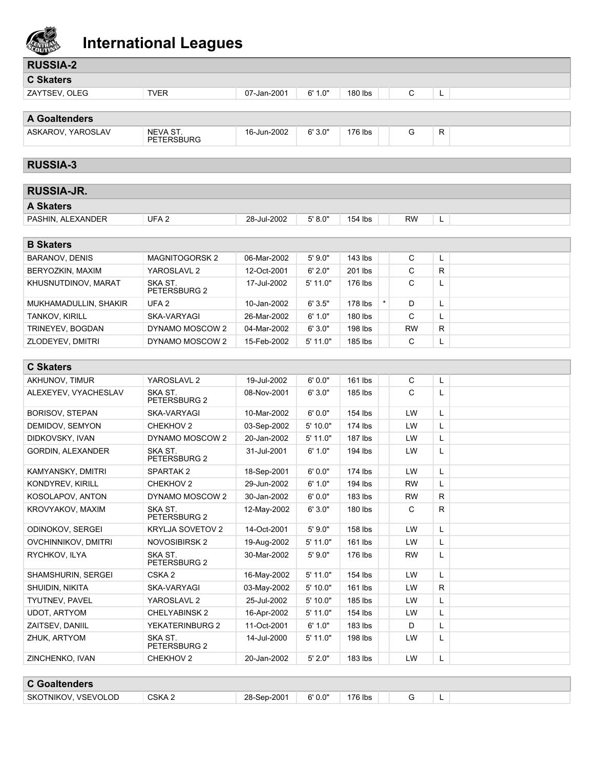

| <b>RUSSIA-2</b>            |                         |             |            |           |              |              |  |
|----------------------------|-------------------------|-------------|------------|-----------|--------------|--------------|--|
| <b>C Skaters</b>           |                         |             |            |           |              |              |  |
| ZAYTSEV, OLEG              | <b>TVER</b>             | 07-Jan-2001 | 6' 1.0"    | 180 lbs   | C            | L            |  |
|                            |                         |             |            |           |              |              |  |
| <b>A Goaltenders</b>       |                         |             |            |           |              |              |  |
| ASKAROV, YAROSLAV          | NEVA ST.<br>PETERSBURG  | 16-Jun-2002 | 6'3.0"     | 176 lbs   | G            | R            |  |
| <b>RUSSIA-3</b>            |                         |             |            |           |              |              |  |
| <b>RUSSIA-JR.</b>          |                         |             |            |           |              |              |  |
| <b>A Skaters</b>           |                         |             |            |           |              |              |  |
|                            |                         |             |            |           |              |              |  |
| PASHIN, ALEXANDER          | UFA <sub>2</sub>        | 28-Jul-2002 | 5' 8.0"    | 154 lbs   | <b>RW</b>    | L            |  |
| <b>B Skaters</b>           |                         |             |            |           |              |              |  |
| <b>BARANOV, DENIS</b>      | <b>MAGNITOGORSK2</b>    | 06-Mar-2002 | 5'9.0"     | 143 lbs   | С            | L            |  |
| BERYOZKIN, MAXIM           | YAROSLAVL 2             | 12-Oct-2001 | 6' 2.0"    | 201 lbs   | C            | $\mathsf{R}$ |  |
| KHUSNUTDINOV, MARAT        | SKA ST.                 | 17-Jul-2002 | 5' 11.0"   | 176 lbs   | C            | L            |  |
|                            | PETERSBURG 2            |             |            |           |              |              |  |
| MUKHAMADULLIN, SHAKIR      | UFA <sub>2</sub>        | 10-Jan-2002 | 6'3.5"     | 178 lbs   | $\star$<br>D | Г            |  |
| TANKOV, KIRILL             | SKA-VARYAGI             | 26-Mar-2002 | 6' 1.0"    | 180 lbs   | C            | L            |  |
| TRINEYEV, BOGDAN           | DYNAMO MOSCOW 2         | 04-Mar-2002 | 6'3.0"     | 198 lbs   | <b>RW</b>    | R            |  |
| ZLODEYEV, DMITRI           | DYNAMO MOSCOW 2         | 15-Feb-2002 | 5' 11.0"   | 185 lbs   | C            | L            |  |
|                            |                         |             |            |           |              |              |  |
| <b>C Skaters</b>           |                         |             |            |           |              |              |  |
| AKHUNOV, TIMUR             | YAROSLAVL 2             | 19-Jul-2002 | 6'0.0"     | 161 lbs   | С            | L            |  |
| ALEXEYEV, VYACHESLAV       | SKA ST.<br>PETERSBURG 2 | 08-Nov-2001 | 6'3.0"     | 185 lbs   | C            | Г            |  |
| <b>BORISOV, STEPAN</b>     | SKA-VARYAGI             | 10-Mar-2002 | 6'0.0"     | 154 lbs   | LW           | Г            |  |
| DEMIDOV, SEMYON            | CHEKHOV <sub>2</sub>    | 03-Sep-2002 | 5' 10.0"   | 174 lbs   | LW           | Г            |  |
| DIDKOVSKY, IVAN            | DYNAMO MOSCOW 2         | 20-Jan-2002 | $5'$ 11.0" | $187$ lbs | LW           | Г            |  |
| <b>GORDIN, ALEXANDER</b>   | SKA ST.<br>PETERSBURG 2 | 31-Jul-2001 | 6' 1.0"    | 194 lbs   | LW           | L            |  |
| KAMYANSKY, DMITRI          | SPARTAK <sub>2</sub>    | 18-Sep-2001 | 6'0.0"     | 174 lbs   | LW           | L            |  |
| <b>KONDYREV, KIRILL</b>    | CHEKHOV <sub>2</sub>    | 29-Jun-2002 | 6' 1.0"    | 194 lbs   | <b>RW</b>    | L            |  |
| KOSOLAPOV, ANTON           | DYNAMO MOSCOW 2         | 30-Jan-2002 | 6'0.0"     | 183 lbs   | <b>RW</b>    | R            |  |
| KROVYAKOV, MAXIM           | SKA ST.<br>PETERSBURG 2 | 12-May-2002 | 6'3.0"     | 180 lbs   | C            | R            |  |
| ODINOKOV, SERGEI           | KRYLJA SOVETOV 2        | 14-Oct-2001 | 5'9.0"     | 158 lbs   | LW           | L            |  |
| <b>OVCHINNIKOV, DMITRI</b> | NOVOSIBIRSK 2           | 19-Aug-2002 | $5'$ 11.0" | 161 lbs   | LW           | L            |  |
| RYCHKOV, ILYA              | SKA ST.<br>PETERSBURG 2 | 30-Mar-2002 | 5'9.0"     | 176 lbs   | <b>RW</b>    | L            |  |
| SHAMSHURIN, SERGEI         | CSKA <sub>2</sub>       | 16-May-2002 | $5'$ 11.0" | 154 lbs   | LW           | L            |  |
| SHUIDIN, NIKITA            | SKA-VARYAGI             | 03-May-2002 | 5'10.0"    | 161 lbs   | LW           | R            |  |
| TYUTNEV, PAVEL             | YAROSLAVL 2             | 25-Jul-2002 | 5' 10.0"   | 185 lbs   | LW           | L            |  |
| <b>UDOT, ARTYOM</b>        | <b>CHELYABINSK 2</b>    | 16-Apr-2002 | 5' 11.0"   | 154 lbs   | LW           | L            |  |
| ZAITSEV, DANIIL            | YEKATERINBURG 2         | 11-Oct-2001 | 6' 1.0"    | 183 lbs   | D            | L            |  |
| ZHUK, ARTYOM               | SKA ST.<br>PETERSBURG 2 | 14-Jul-2000 | $5'$ 11.0" | 198 lbs   | LW           | L            |  |
| ZINCHENKO, IVAN            | CHEKHOV <sub>2</sub>    | 20-Jan-2002 | 5' 2.0"    | 183 lbs   | LW           | L            |  |
|                            |                         |             |            |           |              |              |  |

| <b>C</b> Goaltenders |        |             |         |         |  |   |  |
|----------------------|--------|-------------|---------|---------|--|---|--|
| SKOTNIKOV, VSEVOLOD  | CSKA 2 | 28-Sep-2001 | 6' 0.0" | 176 lbs |  | ╼ |  |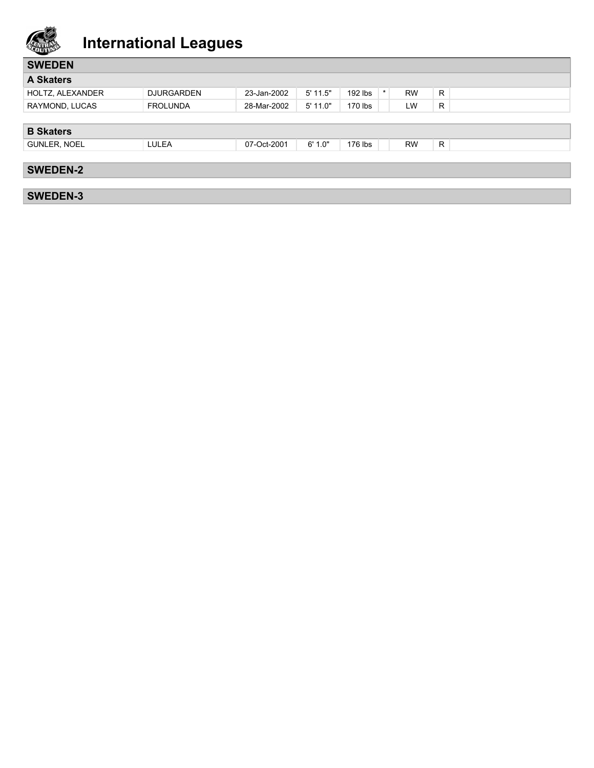

| <b>SWEDEN</b>    |                   |             |            |           |         |           |    |
|------------------|-------------------|-------------|------------|-----------|---------|-----------|----|
| <b>A Skaters</b> |                   |             |            |           |         |           |    |
| HOLTZ, ALEXANDER | <b>DJURGARDEN</b> | 23-Jan-2002 | $5'$ 11.5" | $192$ lbs | $\star$ | <b>RW</b> | R. |
| RAYMOND, LUCAS   | <b>FROLUNDA</b>   | 28-Mar-2002 | 5' 11.0"   | 170 lbs   |         | LW        | R  |
|                  |                   |             |            |           |         |           |    |
| <b>B Skaters</b> |                   |             |            |           |         |           |    |
| GUNLER, NOEL     | LULEA             | 07-Oct-2001 | 6'1.0"     | 176 lbs   |         | <b>RW</b> | R  |
|                  |                   |             |            |           |         |           |    |
| <b>SWEDEN-2</b>  |                   |             |            |           |         |           |    |
|                  |                   |             |            |           |         |           |    |
| <b>SWEDEN-3</b>  |                   |             |            |           |         |           |    |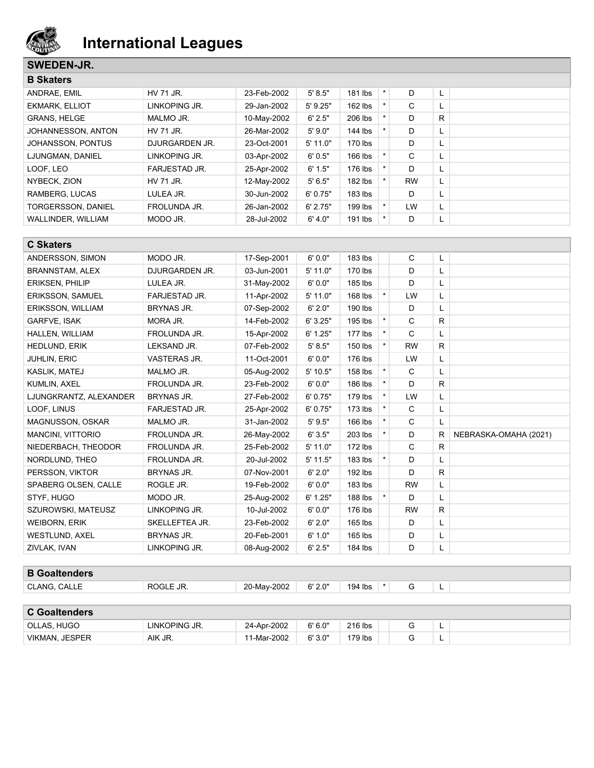

#### **SWEDEN-JR.**

**B Goaltenders**

| <b>B</b> Skaters          |                |             |            |           |         |           |    |  |
|---------------------------|----------------|-------------|------------|-----------|---------|-----------|----|--|
| <b>ANDRAE, EMIL</b>       | HV 71 JR.      | 23-Feb-2002 | 5' 8.5"    | 181 lbs   | $\star$ | D         | ч. |  |
| <b>EKMARK, ELLIOT</b>     | LINKOPING JR.  | 29-Jan-2002 | $5'$ 9.25" | $162$ lbs |         | С         | ъ. |  |
| <b>GRANS, HELGE</b>       | MALMO JR.      | 10-May-2002 | 6' 2.5"    | 206 lbs   | $\star$ | D         | R  |  |
| JOHANNESSON, ANTON        | HV 71 JR.      | 26-Mar-2002 | 5'9.0"     | 144 lbs   | $\star$ | D         | ъ. |  |
| JOHANSSON, PONTUS         | DJURGARDEN JR. | 23-Oct-2001 | $5'$ 11.0" | 170 lbs   |         | D         | ч. |  |
| LJUNGMAN, DANIEL          | LINKOPING JR.  | 03-Apr-2002 | 6'0.5"     | 166 lbs   |         | С         | ч. |  |
| LOOF, LEO                 | FARJESTAD JR.  | 25-Apr-2002 | 6' 1.5"    | 176 lbs   |         | D         |    |  |
| NYBECK, ZION              | HV 71 JR.      | 12-May-2002 | 5'6.5"     | $182$ lbs |         | <b>RW</b> | L. |  |
| RAMBERG, LUCAS            | LULEA JR.      | 30-Jun-2002 | 6'0.75"    | $183$ lbs |         | D         | ч. |  |
| <b>TORGERSSON, DANIEL</b> | FROLUNDA JR.   | 26-Jan-2002 | 6' 2.75"   | 199 lbs   | $\star$ | LW        | L. |  |
| WALLINDER, WILLIAM        | MODO JR.       | 28-Jul-2002 | 6' 4.0"    | 191 lbs   | $\star$ | D         | L. |  |

| <b>C Skaters</b>        |                   |             |            |           |         |              |    |                       |
|-------------------------|-------------------|-------------|------------|-----------|---------|--------------|----|-----------------------|
| ANDERSSON, SIMON        | MODO JR.          | 17-Sep-2001 | 6'0.0"     | 183 lbs   |         | C            | L  |                       |
| <b>BRANNSTAM, ALEX</b>  | DJURGARDEN JR.    | 03-Jun-2001 | 5' 11.0"   | 170 lbs   |         | D            | L  |                       |
| <b>ERIKSEN, PHILIP</b>  | LULEA JR.         | 31-May-2002 | 6'0.0"     | 185 lbs   |         | D.           | L  |                       |
| <b>ERIKSSON, SAMUEL</b> | FARJESTAD JR.     | 11-Apr-2002 | 5' 11.0"   | 168 lbs   | $\star$ | LW           | L  |                       |
| ERIKSSON, WILLIAM       | <b>BRYNAS JR.</b> | 07-Sep-2002 | 6' 2.0"    | 190 lbs   |         | D            | L  |                       |
| <b>GARFVE, ISAK</b>     | MORA JR.          | 14-Feb-2002 | 6'3.25"    | 195 lbs   | $\star$ | $\mathsf{C}$ | R  |                       |
| HALLEN, WILLIAM         | FROLUNDA JR.      | 15-Apr-2002 | 6' 1.25"   | $177$ lbs | $\star$ | C            | L  |                       |
| <b>HEDLUND, ERIK</b>    | LEKSAND JR.       | 07-Feb-2002 | 5' 8.5"    | 150 lbs   | $\star$ | <b>RW</b>    | R. |                       |
| <b>JUHLIN, ERIC</b>     | VASTERAS JR.      | 11-Oct-2001 | 6'0.0"     | 176 lbs   |         | LW           | L  |                       |
| KASLIK, MATEJ           | MALMO JR.         | 05-Aug-2002 | $5'$ 10.5" | 158 lbs   | $\star$ | $\mathsf{C}$ | L  |                       |
| KUMLIN, AXEL            | FROLUNDA JR.      | 23-Feb-2002 | 6'0.0"     | 186 lbs   | $\star$ | D.           | R. |                       |
| LJUNGKRANTZ, ALEXANDER  | <b>BRYNAS JR.</b> | 27-Feb-2002 | 6' 0.75"   | 179 lbs   | $\star$ | LW           | L  |                       |
| LOOF, LINUS             | FARJESTAD JR.     | 25-Apr-2002 | 6' 0.75"   | $173$ lbs | $\star$ | $\mathsf{C}$ | L  |                       |
| <b>MAGNUSSON, OSKAR</b> | MALMO JR.         | 31-Jan-2002 | 5' 9.5"    | 166 lbs   | $\star$ | $\mathsf{C}$ | L  |                       |
| MANCINI, VITTORIO       | FROLUNDA JR.      | 26-May-2002 | 6'3.5"     | 203 lbs   | $\star$ | D            | R  | NEBRASKA-OMAHA (2021) |
| NIEDERBACH, THEODOR     | FROLUNDA JR.      | 25-Feb-2002 | 5' 11.0"   | 172 lbs   |         | $\mathsf{C}$ | R. |                       |
| NORDLUND, THEO          | FROLUNDA JR.      | 20-Jul-2002 | $5'$ 11.5" | 183 lbs   | $\star$ | D            | L  |                       |
| PERSSON, VIKTOR         | <b>BRYNAS JR.</b> | 07-Nov-2001 | 6' 2.0"    | $192$ lbs |         | D            | R. |                       |
| SPABERG OLSEN, CALLE    | ROGLE JR.         | 19-Feb-2002 | 6'0.0"     | 183 lbs   |         | <b>RW</b>    | L  |                       |
| STYF, HUGO              | MODO JR.          | 25-Aug-2002 | 6' 1.25"   | 188 lbs   | $\star$ | D            | L  |                       |
| SZUROWSKI, MATEUSZ      | LINKOPING JR.     | 10-Jul-2002 | 6'0.0"     | 176 lbs   |         | <b>RW</b>    | R. |                       |
| <b>WEIBORN, ERIK</b>    | SKELLEFTEA JR.    | 23-Feb-2002 | 6' 2.0"    | $165$ lbs |         | D            | L  |                       |
| <b>WESTLUND, AXEL</b>   | <b>BRYNAS JR.</b> | 20-Feb-2001 | 6' 1.0"    | 165 lbs   |         | D            | L  |                       |
| ZIVLAK, IVAN            | LINKOPING JR.     | 08-Aug-2002 | 6' 2.5"    | 184 lbs   |         | D            | L  |                       |
|                         |                   |             |            |           |         |              |    |                       |

| CLANG, CALLE<br>ROGLE JR. | 20-May-2002<br>6'2.0" | 194 lbs | - |
|---------------------------|-----------------------|---------|---|

| <b>C</b> Goaltenders  |               |             |         |         |   |
|-----------------------|---------------|-------------|---------|---------|---|
| OLLAS, HUGO           | LINKOPING JR. | 24-Apr-2002 | 6' 6.0" | 216 lbs | - |
| <b>VIKMAN, JESPER</b> | AIK JR.       | 11-Mar-2002 | 6'3.0"  | 179 lbs | - |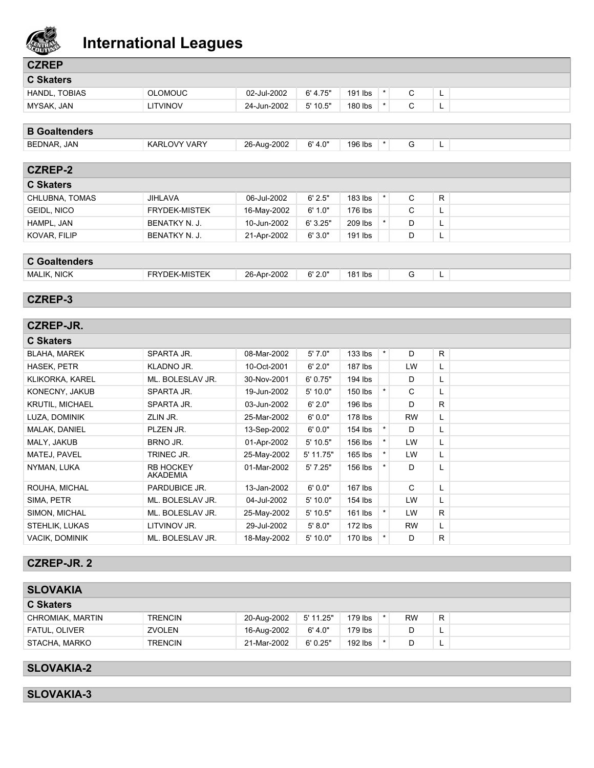

| مستعين               | $\tilde{\phantom{a}}$ |             |            |         |         |   |    |  |
|----------------------|-----------------------|-------------|------------|---------|---------|---|----|--|
| <b>CZREP</b>         |                       |             |            |         |         |   |    |  |
| <b>C Skaters</b>     |                       |             |            |         |         |   |    |  |
| HANDL, TOBIAS        | <b>OLOMOUC</b>        | 02-Jul-2002 | 6' 4.75"   | 191 lbs | $\star$ | C | L  |  |
| MYSAK, JAN           | <b>LITVINOV</b>       | 24-Jun-2002 | $5'$ 10.5" | 180 lbs | $\star$ | C | L. |  |
| <b>B</b> Goaltenders |                       |             |            |         |         |   |    |  |
| BEDNAR, JAN          | <b>KARLOVY VARY</b>   | 26-Aug-2002 | 6' 4.0"    | 196 lbs | $\star$ | G | L  |  |
| <b>CZREP-2</b>       |                       |             |            |         |         |   |    |  |
| <b>C Skaters</b>     |                       |             |            |         |         |   |    |  |
| CHLUBNA, TOMAS       | <b>JIHLAVA</b>        | 06-Jul-2002 | 6' 2.5"    | 183 lbs | $\star$ | C | R. |  |
| GEIDL, NICO          | <b>FRYDEK-MISTEK</b>  | 16-May-2002 | 6' 1.0"    | 176 lbs |         | C | L. |  |
| HAMPL, JAN           | <b>BENATKY N. J.</b>  | 10-Jun-2002 | 6'3.25"    | 209 lbs | $\star$ | D | L. |  |
| KOVAR, FILIP         | <b>BENATKY N. J.</b>  | 21-Apr-2002 | 6'3.0"     | 191 lbs |         | D | L. |  |
| <b>C</b> Goaltenders |                       |             |            |         |         |   |    |  |
| <b>MALIK, NICK</b>   | <b>FRYDEK-MISTEK</b>  | 26-Apr-2002 | 6' 2.0"    | 181 lbs |         | G | L  |  |
|                      |                       |             |            |         |         |   |    |  |
| <b>CZREP-3</b>       |                       |             |            |         |         |   |    |  |

| <b>CZREP-JR.</b>       |                              |             |            |           |          |           |    |  |
|------------------------|------------------------------|-------------|------------|-----------|----------|-----------|----|--|
| <b>C Skaters</b>       |                              |             |            |           |          |           |    |  |
| <b>BLAHA, MAREK</b>    | SPARTA JR.                   | 08-Mar-2002 | 5'7.0"     | 133 lbs   | $\star$  | D         | R. |  |
| HASEK, PETR            | KLADNO JR.                   | 10-Oct-2001 | 6' 2.0"    | 187 lbs   |          | LW        | L  |  |
| <b>KLIKORKA, KAREL</b> | ML. BOLESLAV JR.             | 30-Nov-2001 | 6'0.75"    | 194 lbs   |          | D         | L  |  |
| KONECNY, JAKUB         | SPARTA JR.                   | 19-Jun-2002 | 5'10.0"    | 150 lbs   |          | C         | L  |  |
| <b>KRUTIL, MICHAEL</b> | SPARTA JR.                   | 03-Jun-2002 | 6' 2.0"    | 196 lbs   |          | D         | R. |  |
| LUZA, DOMINIK          | ZLIN JR.                     | 25-Mar-2002 | 6'0.0"     | $178$ lbs |          | <b>RW</b> | L  |  |
| MALAK, DANIEL          | PLZEN JR.                    | 13-Sep-2002 | 6'0.0"     | 154 lbs   | $\star$  | D         | L  |  |
| MALY, JAKUB            | BRNO JR.                     | 01-Apr-2002 | $5'$ 10.5" | 156 lbs   | $\star$  | LW        | L  |  |
| <b>MATEJ, PAVEL</b>    | TRINEC JR.                   | 25-May-2002 | 5' 11.75"  | 165 lbs   | $^\star$ | <b>LW</b> | L  |  |
| NYMAN, LUKA            | <b>RB HOCKEY</b><br>AKADEMIA | 01-Mar-2002 | 5'7.25"    | 156 lbs   |          | D         | L  |  |
| ROUHA, MICHAL          | PARDUBICE JR.                | 13-Jan-2002 | 6'0.0"     | 167 lbs   |          | C         | L  |  |
| SIMA, PETR             | ML. BOLESLAV JR.             | 04-Jul-2002 | 5'10.0"    | 154 lbs   |          | <b>LW</b> | L  |  |
| SIMON, MICHAL          | ML. BOLESLAV JR.             | 25-May-2002 | $5'$ 10.5" | 161 lbs   | $\star$  | <b>LW</b> | R  |  |
| STEHLIK, LUKAS         | LITVINOV JR.                 | 29-Jul-2002 | 5' 8.0"    | 172 lbs   |          | <b>RW</b> | L  |  |
| <b>VACIK, DOMINIK</b>  | ML. BOLESLAV JR.             | 18-May-2002 | 5' 10.0"   | 170 lbs   | $^\star$ | D         | R  |  |

#### **CZREP-JR. 2**

| <b>SLOVAKIA</b>      |                |             |           |           |           |   |
|----------------------|----------------|-------------|-----------|-----------|-----------|---|
| <b>C Skaters</b>     |                |             |           |           |           |   |
| CHROMIAK, MARTIN     | <b>TRENCIN</b> | 20-Aug-2002 | 5' 11.25" | 179 lbs   | <b>RW</b> | R |
| <b>FATUL, OLIVER</b> | ZVOLEN         | 16-Aug-2002 | 6' 4.0"   | 179 lbs   |           | ∽ |
| STACHA, MARKO        | <b>TRENCIN</b> | 21-Mar-2002 | 6'0.25"   | $192$ lbs |           | ∽ |

### **SLOVAKIA-2**

#### **SLOVAKIA-3**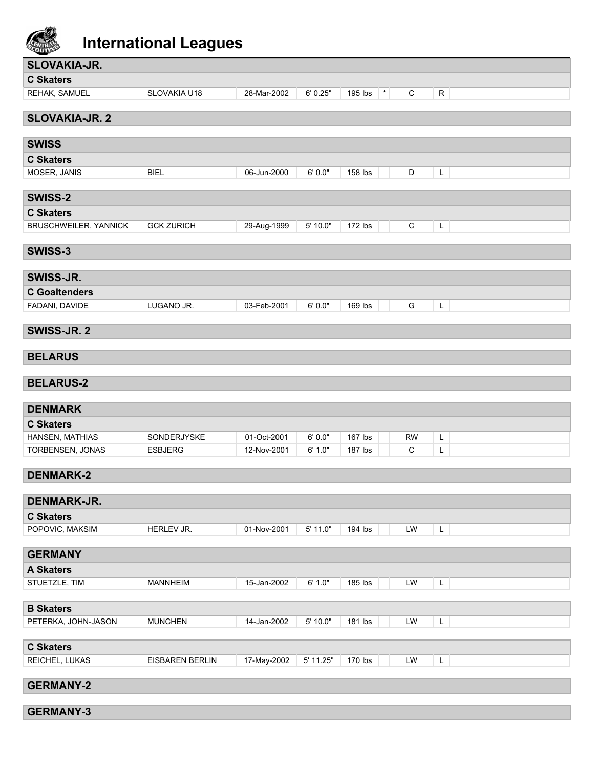

| SLOVAKIA-JR.                        |                               |                            |                   |                     |                          |             |
|-------------------------------------|-------------------------------|----------------------------|-------------------|---------------------|--------------------------|-------------|
| <b>C Skaters</b>                    |                               |                            |                   |                     |                          |             |
| REHAK, SAMUEL                       | SLOVAKIA U18                  | 28-Mar-2002                | 6' 0.25"          | 195 lbs<br>$^\star$ | C                        | $\mathsf R$ |
| <b>SLOVAKIA-JR. 2</b>               |                               |                            |                   |                     |                          |             |
|                                     |                               |                            |                   |                     |                          |             |
| <b>SWISS</b>                        |                               |                            |                   |                     |                          |             |
| <b>C Skaters</b>                    |                               |                            |                   |                     |                          |             |
| MOSER, JANIS                        | <b>BIEL</b>                   | 06-Jun-2000                | 6'0.0"            | 158 lbs             | D                        | L           |
|                                     |                               |                            |                   |                     |                          |             |
| <b>SWISS-2</b>                      |                               |                            |                   |                     |                          |             |
| <b>C Skaters</b>                    |                               |                            |                   |                     |                          |             |
| <b>BRUSCHWEILER, YANNICK</b>        | <b>GCK ZURICH</b>             | 29-Aug-1999                | 5' 10.0"          | 172 lbs             | ${\rm C}$                | L           |
| SWISS-3                             |                               |                            |                   |                     |                          |             |
|                                     |                               |                            |                   |                     |                          |             |
| SWISS-JR.                           |                               |                            |                   |                     |                          |             |
| <b>C</b> Goaltenders                |                               |                            |                   |                     |                          |             |
| FADANI, DAVIDE                      | LUGANO JR.                    | 03-Feb-2001                | 6'0.0"            | 169 lbs             | G                        | L           |
| SWISS-JR. 2                         |                               |                            |                   |                     |                          |             |
|                                     |                               |                            |                   |                     |                          |             |
| <b>BELARUS</b>                      |                               |                            |                   |                     |                          |             |
|                                     |                               |                            |                   |                     |                          |             |
| <b>BELARUS-2</b>                    |                               |                            |                   |                     |                          |             |
|                                     |                               |                            |                   |                     |                          |             |
| <b>DENMARK</b>                      |                               |                            |                   |                     |                          |             |
| <b>C Skaters</b>                    |                               |                            |                   |                     |                          |             |
| HANSEN, MATHIAS<br>TORBENSEN, JONAS | SONDERJYSKE<br><b>ESBJERG</b> | 01-Oct-2001<br>12-Nov-2001 | 6'0.0"<br>6' 1.0" | 167 lbs<br>187 lbs  | <b>RW</b><br>$\mathbf C$ | L<br>L      |
|                                     |                               |                            |                   |                     |                          |             |
| <b>DENMARK-2</b>                    |                               |                            |                   |                     |                          |             |
|                                     |                               |                            |                   |                     |                          |             |
| DENMARK-JR.                         |                               |                            |                   |                     |                          |             |
| <b>C Skaters</b>                    |                               |                            |                   |                     |                          |             |
| POPOVIC, MAKSIM                     | HERLEV JR.                    | 01-Nov-2001                | 5' 11.0"          | 194 lbs             | LW                       | L           |
| <b>GERMANY</b>                      |                               |                            |                   |                     |                          |             |
| <b>A Skaters</b>                    |                               |                            |                   |                     |                          |             |
| STUETZLE, TIM                       | <b>MANNHEIM</b>               | 15-Jan-2002                | 6' 1.0"           | 185 lbs             | LW                       | L           |
|                                     |                               |                            |                   |                     |                          |             |
| <b>B Skaters</b>                    |                               |                            |                   |                     |                          |             |
| PETERKA, JOHN-JASON                 | <b>MUNCHEN</b>                | 14-Jan-2002                | 5'10.0"           | 181 lbs             | LW                       | L           |
|                                     |                               |                            |                   |                     |                          |             |
| <b>C Skaters</b><br>REICHEL, LUKAS  |                               |                            | 5' 11.25"         |                     | LW                       |             |
|                                     | <b>EISBAREN BERLIN</b>        | 17-May-2002                |                   | 170 lbs             |                          | L           |
| <b>GERMANY-2</b>                    |                               |                            |                   |                     |                          |             |
| <b>GERMANY-3</b>                    |                               |                            |                   |                     |                          |             |